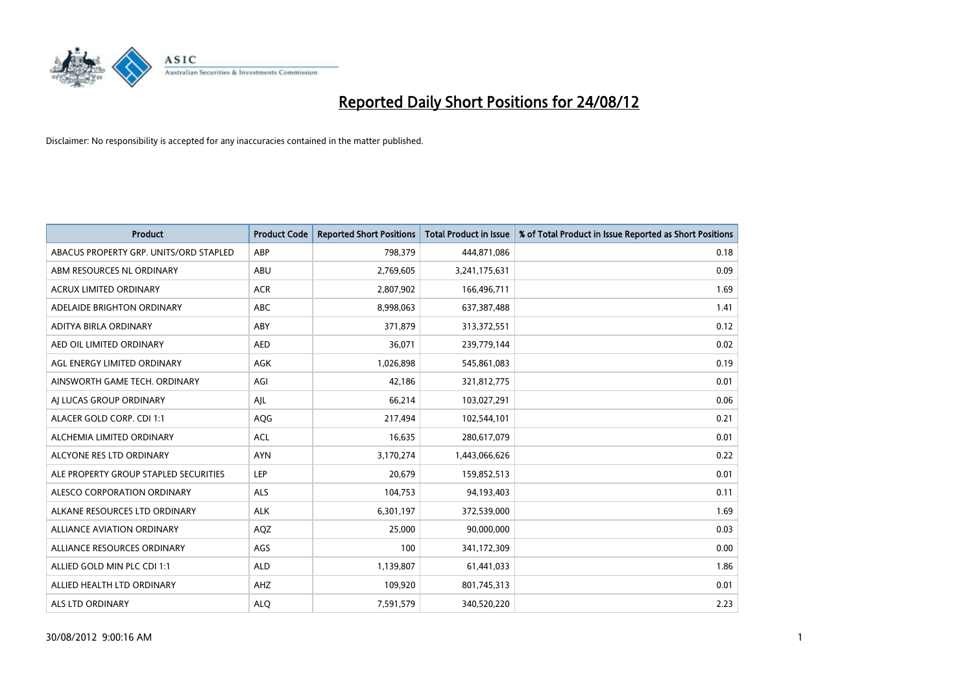

| <b>Product</b>                         | <b>Product Code</b> | <b>Reported Short Positions</b> | <b>Total Product in Issue</b> | % of Total Product in Issue Reported as Short Positions |
|----------------------------------------|---------------------|---------------------------------|-------------------------------|---------------------------------------------------------|
| ABACUS PROPERTY GRP. UNITS/ORD STAPLED | ABP                 | 798,379                         | 444,871,086                   | 0.18                                                    |
| ABM RESOURCES NL ORDINARY              | ABU                 | 2,769,605                       | 3,241,175,631                 | 0.09                                                    |
| <b>ACRUX LIMITED ORDINARY</b>          | <b>ACR</b>          | 2,807,902                       | 166,496,711                   | 1.69                                                    |
| ADELAIDE BRIGHTON ORDINARY             | <b>ABC</b>          | 8,998,063                       | 637,387,488                   | 1.41                                                    |
| ADITYA BIRLA ORDINARY                  | ABY                 | 371,879                         | 313,372,551                   | 0.12                                                    |
| AED OIL LIMITED ORDINARY               | <b>AED</b>          | 36,071                          | 239,779,144                   | 0.02                                                    |
| AGL ENERGY LIMITED ORDINARY            | AGK                 | 1,026,898                       | 545,861,083                   | 0.19                                                    |
| AINSWORTH GAME TECH. ORDINARY          | AGI                 | 42.186                          | 321,812,775                   | 0.01                                                    |
| AI LUCAS GROUP ORDINARY                | AJL                 | 66,214                          | 103,027,291                   | 0.06                                                    |
| ALACER GOLD CORP. CDI 1:1              | AQG                 | 217,494                         | 102,544,101                   | 0.21                                                    |
| ALCHEMIA LIMITED ORDINARY              | <b>ACL</b>          | 16,635                          | 280,617,079                   | 0.01                                                    |
| ALCYONE RES LTD ORDINARY               | <b>AYN</b>          | 3,170,274                       | 1,443,066,626                 | 0.22                                                    |
| ALE PROPERTY GROUP STAPLED SECURITIES  | LEP                 | 20,679                          | 159,852,513                   | 0.01                                                    |
| ALESCO CORPORATION ORDINARY            | <b>ALS</b>          | 104,753                         | 94,193,403                    | 0.11                                                    |
| ALKANE RESOURCES LTD ORDINARY          | <b>ALK</b>          | 6,301,197                       | 372,539,000                   | 1.69                                                    |
| ALLIANCE AVIATION ORDINARY             | AQZ                 | 25,000                          | 90,000,000                    | 0.03                                                    |
| ALLIANCE RESOURCES ORDINARY            | AGS                 | 100                             | 341,172,309                   | 0.00                                                    |
| ALLIED GOLD MIN PLC CDI 1:1            | <b>ALD</b>          | 1,139,807                       | 61,441,033                    | 1.86                                                    |
| ALLIED HEALTH LTD ORDINARY             | AHZ                 | 109,920                         | 801,745,313                   | 0.01                                                    |
| ALS LTD ORDINARY                       | <b>ALO</b>          | 7,591,579                       | 340,520,220                   | 2.23                                                    |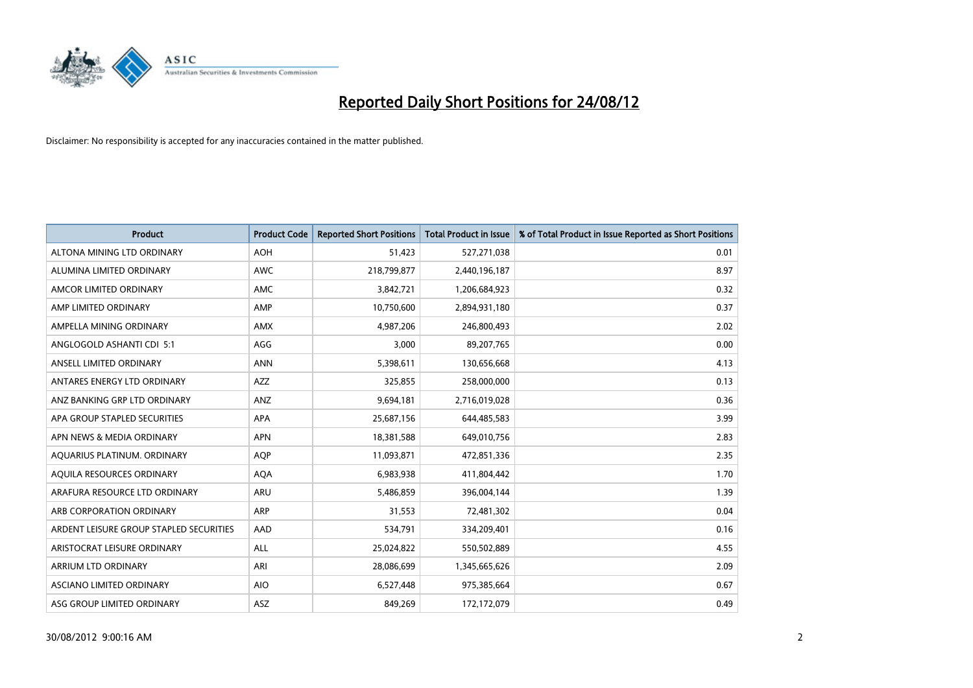

| <b>Product</b>                          | <b>Product Code</b> | <b>Reported Short Positions</b> | <b>Total Product in Issue</b> | % of Total Product in Issue Reported as Short Positions |
|-----------------------------------------|---------------------|---------------------------------|-------------------------------|---------------------------------------------------------|
| ALTONA MINING LTD ORDINARY              | <b>AOH</b>          | 51,423                          | 527,271,038                   | 0.01                                                    |
| ALUMINA LIMITED ORDINARY                | <b>AWC</b>          | 218,799,877                     | 2,440,196,187                 | 8.97                                                    |
| AMCOR LIMITED ORDINARY                  | AMC                 | 3,842,721                       | 1,206,684,923                 | 0.32                                                    |
| AMP LIMITED ORDINARY                    | AMP                 | 10,750,600                      | 2,894,931,180                 | 0.37                                                    |
| AMPELLA MINING ORDINARY                 | AMX                 | 4,987,206                       | 246,800,493                   | 2.02                                                    |
| ANGLOGOLD ASHANTI CDI 5:1               | AGG                 | 3,000                           | 89,207,765                    | 0.00                                                    |
| ANSELL LIMITED ORDINARY                 | <b>ANN</b>          | 5,398,611                       | 130,656,668                   | 4.13                                                    |
| ANTARES ENERGY LTD ORDINARY             | <b>AZZ</b>          | 325,855                         | 258,000,000                   | 0.13                                                    |
| ANZ BANKING GRP LTD ORDINARY            | ANZ                 | 9,694,181                       | 2,716,019,028                 | 0.36                                                    |
| APA GROUP STAPLED SECURITIES            | <b>APA</b>          | 25,687,156                      | 644,485,583                   | 3.99                                                    |
| APN NEWS & MEDIA ORDINARY               | <b>APN</b>          | 18,381,588                      | 649,010,756                   | 2.83                                                    |
| AQUARIUS PLATINUM. ORDINARY             | <b>AOP</b>          | 11,093,871                      | 472,851,336                   | 2.35                                                    |
| AQUILA RESOURCES ORDINARY               | <b>AQA</b>          | 6,983,938                       | 411,804,442                   | 1.70                                                    |
| ARAFURA RESOURCE LTD ORDINARY           | <b>ARU</b>          | 5,486,859                       | 396,004,144                   | 1.39                                                    |
| ARB CORPORATION ORDINARY                | ARP                 | 31,553                          | 72,481,302                    | 0.04                                                    |
| ARDENT LEISURE GROUP STAPLED SECURITIES | AAD                 | 534,791                         | 334,209,401                   | 0.16                                                    |
| ARISTOCRAT LEISURE ORDINARY             | <b>ALL</b>          | 25,024,822                      | 550,502,889                   | 4.55                                                    |
| <b>ARRIUM LTD ORDINARY</b>              | ARI                 | 28,086,699                      | 1,345,665,626                 | 2.09                                                    |
| <b>ASCIANO LIMITED ORDINARY</b>         | <b>AIO</b>          | 6,527,448                       | 975,385,664                   | 0.67                                                    |
| ASG GROUP LIMITED ORDINARY              | <b>ASZ</b>          | 849,269                         | 172,172,079                   | 0.49                                                    |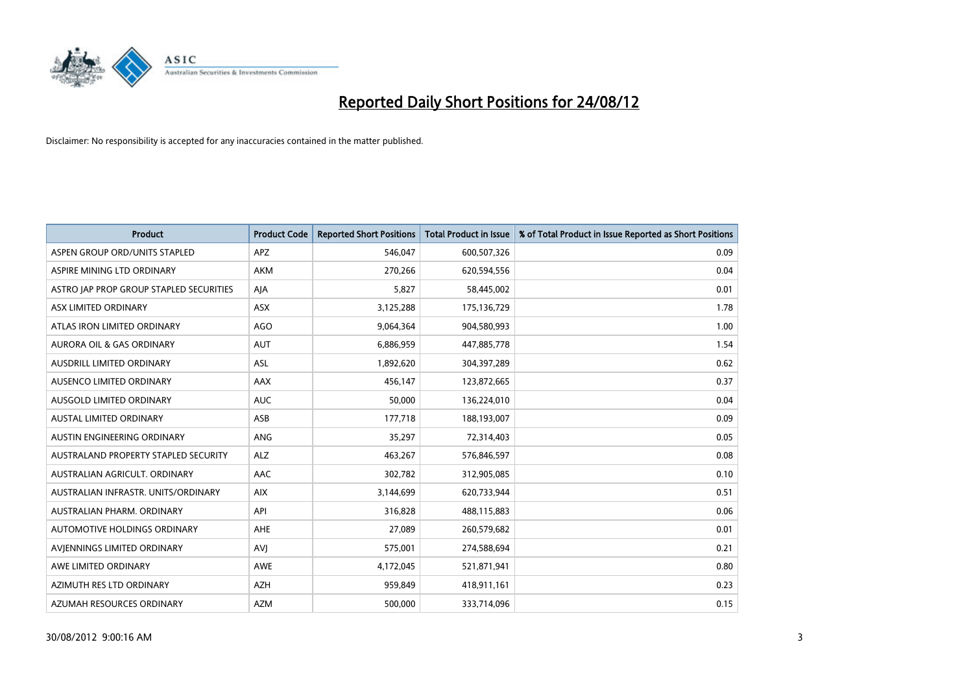

| <b>Product</b>                              | <b>Product Code</b> | <b>Reported Short Positions</b> | <b>Total Product in Issue</b> | % of Total Product in Issue Reported as Short Positions |
|---------------------------------------------|---------------------|---------------------------------|-------------------------------|---------------------------------------------------------|
| ASPEN GROUP ORD/UNITS STAPLED               | <b>APZ</b>          | 546,047                         | 600,507,326                   | 0.09                                                    |
| ASPIRE MINING LTD ORDINARY                  | <b>AKM</b>          | 270,266                         | 620,594,556                   | 0.04                                                    |
| ASTRO JAP PROP GROUP STAPLED SECURITIES     | AJA                 | 5,827                           | 58,445,002                    | 0.01                                                    |
| ASX LIMITED ORDINARY                        | ASX                 | 3,125,288                       | 175,136,729                   | 1.78                                                    |
| ATLAS IRON LIMITED ORDINARY                 | AGO                 | 9,064,364                       | 904,580,993                   | 1.00                                                    |
| <b>AURORA OIL &amp; GAS ORDINARY</b>        | <b>AUT</b>          | 6,886,959                       | 447,885,778                   | 1.54                                                    |
| AUSDRILL LIMITED ORDINARY                   | <b>ASL</b>          | 1,892,620                       | 304,397,289                   | 0.62                                                    |
| AUSENCO LIMITED ORDINARY                    | AAX                 | 456,147                         | 123,872,665                   | 0.37                                                    |
| AUSGOLD LIMITED ORDINARY                    | <b>AUC</b>          | 50,000                          | 136,224,010                   | 0.04                                                    |
| <b>AUSTAL LIMITED ORDINARY</b>              | ASB                 | 177,718                         | 188,193,007                   | 0.09                                                    |
| AUSTIN ENGINEERING ORDINARY                 | <b>ANG</b>          | 35,297                          | 72,314,403                    | 0.05                                                    |
| <b>AUSTRALAND PROPERTY STAPLED SECURITY</b> | <b>ALZ</b>          | 463,267                         | 576,846,597                   | 0.08                                                    |
| AUSTRALIAN AGRICULT. ORDINARY               | AAC                 | 302,782                         | 312,905,085                   | 0.10                                                    |
| AUSTRALIAN INFRASTR. UNITS/ORDINARY         | <b>AIX</b>          | 3,144,699                       | 620,733,944                   | 0.51                                                    |
| AUSTRALIAN PHARM, ORDINARY                  | API                 | 316,828                         | 488,115,883                   | 0.06                                                    |
| AUTOMOTIVE HOLDINGS ORDINARY                | AHE                 | 27,089                          | 260,579,682                   | 0.01                                                    |
| AVIENNINGS LIMITED ORDINARY                 | AVI                 | 575,001                         | 274,588,694                   | 0.21                                                    |
| AWE LIMITED ORDINARY                        | <b>AWE</b>          | 4,172,045                       | 521,871,941                   | 0.80                                                    |
| AZIMUTH RES LTD ORDINARY                    | <b>AZH</b>          | 959,849                         | 418,911,161                   | 0.23                                                    |
| AZUMAH RESOURCES ORDINARY                   | <b>AZM</b>          | 500,000                         | 333,714,096                   | 0.15                                                    |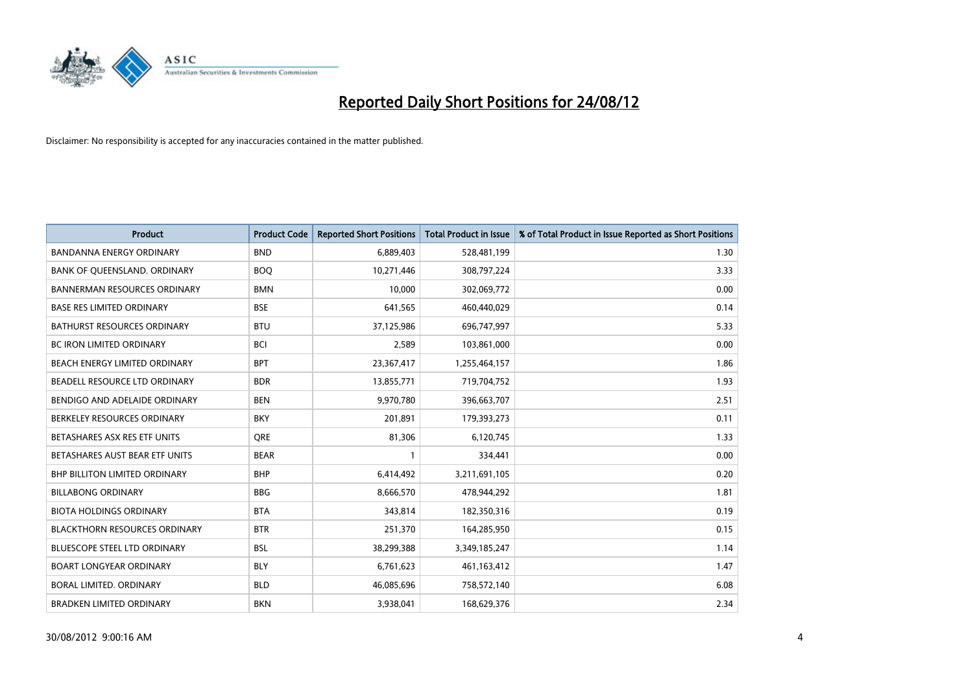

| <b>Product</b>                       | <b>Product Code</b> | <b>Reported Short Positions</b> | <b>Total Product in Issue</b> | % of Total Product in Issue Reported as Short Positions |
|--------------------------------------|---------------------|---------------------------------|-------------------------------|---------------------------------------------------------|
| <b>BANDANNA ENERGY ORDINARY</b>      | <b>BND</b>          | 6,889,403                       | 528,481,199                   | 1.30                                                    |
| BANK OF QUEENSLAND. ORDINARY         | <b>BOQ</b>          | 10,271,446                      | 308,797,224                   | 3.33                                                    |
| <b>BANNERMAN RESOURCES ORDINARY</b>  | <b>BMN</b>          | 10,000                          | 302,069,772                   | 0.00                                                    |
| <b>BASE RES LIMITED ORDINARY</b>     | <b>BSE</b>          | 641,565                         | 460,440,029                   | 0.14                                                    |
| <b>BATHURST RESOURCES ORDINARY</b>   | <b>BTU</b>          | 37,125,986                      | 696,747,997                   | 5.33                                                    |
| <b>BC IRON LIMITED ORDINARY</b>      | <b>BCI</b>          | 2,589                           | 103,861,000                   | 0.00                                                    |
| BEACH ENERGY LIMITED ORDINARY        | <b>BPT</b>          | 23,367,417                      | 1,255,464,157                 | 1.86                                                    |
| BEADELL RESOURCE LTD ORDINARY        | <b>BDR</b>          | 13,855,771                      | 719,704,752                   | 1.93                                                    |
| BENDIGO AND ADELAIDE ORDINARY        | <b>BEN</b>          | 9,970,780                       | 396,663,707                   | 2.51                                                    |
| BERKELEY RESOURCES ORDINARY          | <b>BKY</b>          | 201,891                         | 179,393,273                   | 0.11                                                    |
| BETASHARES ASX RES ETF UNITS         | <b>ORE</b>          | 81,306                          | 6,120,745                     | 1.33                                                    |
| BETASHARES AUST BEAR ETF UNITS       | <b>BEAR</b>         |                                 | 334,441                       | 0.00                                                    |
| BHP BILLITON LIMITED ORDINARY        | <b>BHP</b>          | 6,414,492                       | 3,211,691,105                 | 0.20                                                    |
| <b>BILLABONG ORDINARY</b>            | <b>BBG</b>          | 8,666,570                       | 478,944,292                   | 1.81                                                    |
| <b>BIOTA HOLDINGS ORDINARY</b>       | <b>BTA</b>          | 343,814                         | 182,350,316                   | 0.19                                                    |
| <b>BLACKTHORN RESOURCES ORDINARY</b> | <b>BTR</b>          | 251,370                         | 164,285,950                   | 0.15                                                    |
| BLUESCOPE STEEL LTD ORDINARY         | <b>BSL</b>          | 38,299,388                      | 3,349,185,247                 | 1.14                                                    |
| <b>BOART LONGYEAR ORDINARY</b>       | <b>BLY</b>          | 6,761,623                       | 461, 163, 412                 | 1.47                                                    |
| BORAL LIMITED, ORDINARY              | <b>BLD</b>          | 46,085,696                      | 758,572,140                   | 6.08                                                    |
| <b>BRADKEN LIMITED ORDINARY</b>      | <b>BKN</b>          | 3,938,041                       | 168,629,376                   | 2.34                                                    |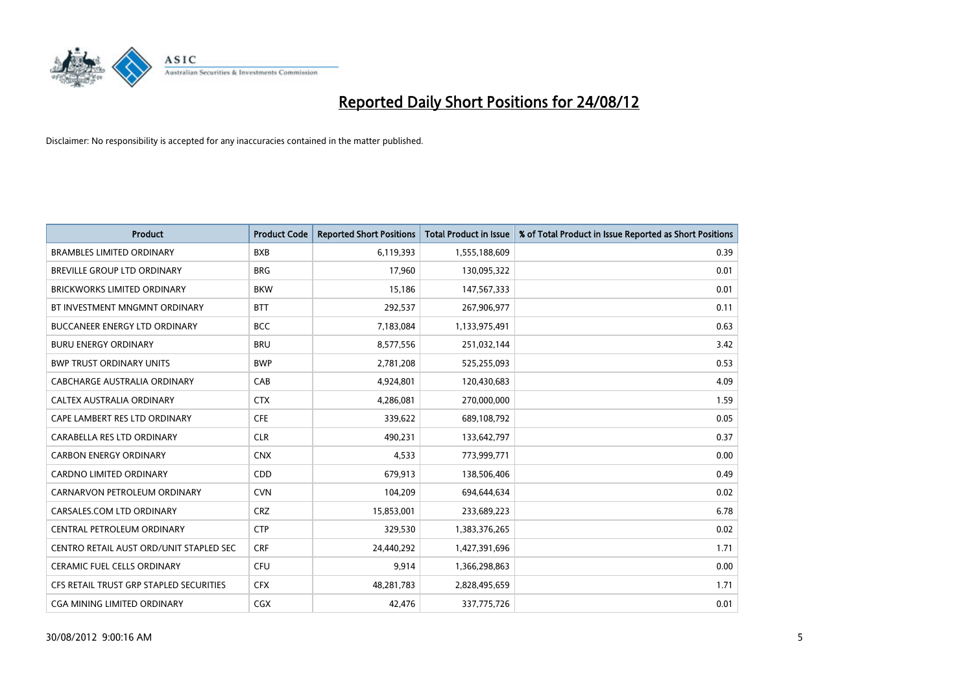

| <b>Product</b>                          | <b>Product Code</b> | <b>Reported Short Positions</b> | <b>Total Product in Issue</b> | % of Total Product in Issue Reported as Short Positions |
|-----------------------------------------|---------------------|---------------------------------|-------------------------------|---------------------------------------------------------|
| <b>BRAMBLES LIMITED ORDINARY</b>        | <b>BXB</b>          | 6,119,393                       | 1,555,188,609                 | 0.39                                                    |
| BREVILLE GROUP LTD ORDINARY             | <b>BRG</b>          | 17,960                          | 130,095,322                   | 0.01                                                    |
| <b>BRICKWORKS LIMITED ORDINARY</b>      | <b>BKW</b>          | 15,186                          | 147,567,333                   | 0.01                                                    |
| BT INVESTMENT MNGMNT ORDINARY           | <b>BTT</b>          | 292,537                         | 267,906,977                   | 0.11                                                    |
| <b>BUCCANEER ENERGY LTD ORDINARY</b>    | <b>BCC</b>          | 7,183,084                       | 1,133,975,491                 | 0.63                                                    |
| <b>BURU ENERGY ORDINARY</b>             | <b>BRU</b>          | 8,577,556                       | 251,032,144                   | 3.42                                                    |
| <b>BWP TRUST ORDINARY UNITS</b>         | <b>BWP</b>          | 2,781,208                       | 525,255,093                   | 0.53                                                    |
| CABCHARGE AUSTRALIA ORDINARY            | CAB                 | 4,924,801                       | 120,430,683                   | 4.09                                                    |
| CALTEX AUSTRALIA ORDINARY               | <b>CTX</b>          | 4,286,081                       | 270,000,000                   | 1.59                                                    |
| CAPE LAMBERT RES LTD ORDINARY           | <b>CFE</b>          | 339,622                         | 689,108,792                   | 0.05                                                    |
| CARABELLA RES LTD ORDINARY              | <b>CLR</b>          | 490,231                         | 133,642,797                   | 0.37                                                    |
| <b>CARBON ENERGY ORDINARY</b>           | <b>CNX</b>          | 4,533                           | 773,999,771                   | 0.00                                                    |
| <b>CARDNO LIMITED ORDINARY</b>          | CDD                 | 679,913                         | 138,506,406                   | 0.49                                                    |
| CARNARVON PETROLEUM ORDINARY            | <b>CVN</b>          | 104,209                         | 694,644,634                   | 0.02                                                    |
| CARSALES.COM LTD ORDINARY               | <b>CRZ</b>          | 15,853,001                      | 233,689,223                   | 6.78                                                    |
| CENTRAL PETROLEUM ORDINARY              | <b>CTP</b>          | 329,530                         | 1,383,376,265                 | 0.02                                                    |
| CENTRO RETAIL AUST ORD/UNIT STAPLED SEC | <b>CRF</b>          | 24,440,292                      | 1,427,391,696                 | 1.71                                                    |
| <b>CERAMIC FUEL CELLS ORDINARY</b>      | <b>CFU</b>          | 9,914                           | 1,366,298,863                 | 0.00                                                    |
| CFS RETAIL TRUST GRP STAPLED SECURITIES | <b>CFX</b>          | 48,281,783                      | 2,828,495,659                 | 1.71                                                    |
| CGA MINING LIMITED ORDINARY             | <b>CGX</b>          | 42,476                          | 337,775,726                   | 0.01                                                    |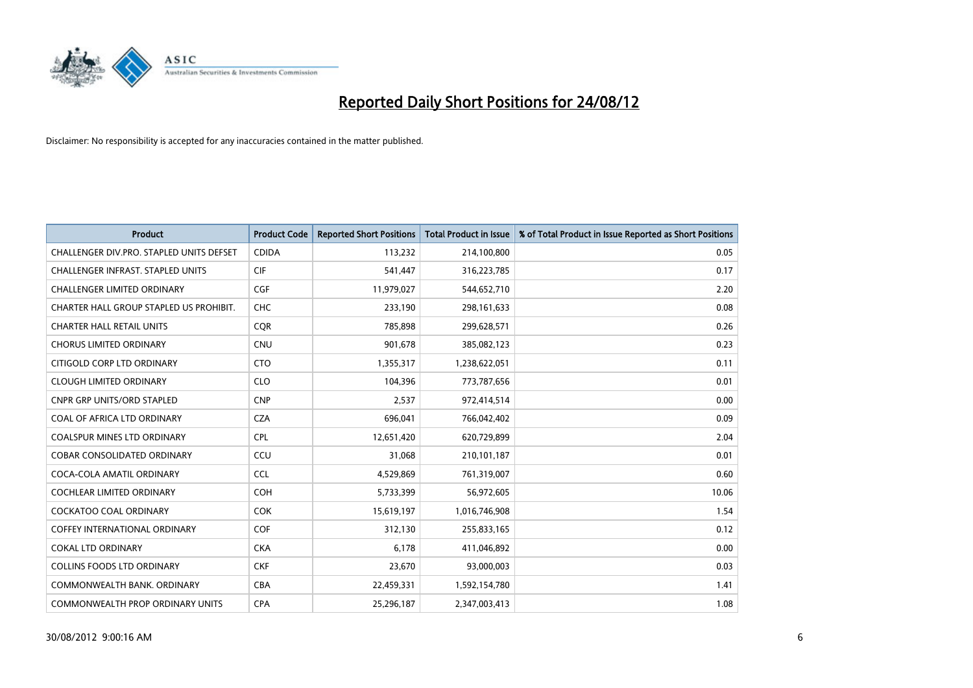

| <b>Product</b>                           | <b>Product Code</b> | <b>Reported Short Positions</b> | <b>Total Product in Issue</b> | % of Total Product in Issue Reported as Short Positions |
|------------------------------------------|---------------------|---------------------------------|-------------------------------|---------------------------------------------------------|
| CHALLENGER DIV.PRO. STAPLED UNITS DEFSET | <b>CDIDA</b>        | 113,232                         | 214,100,800                   | 0.05                                                    |
| <b>CHALLENGER INFRAST, STAPLED UNITS</b> | <b>CIF</b>          | 541,447                         | 316,223,785                   | 0.17                                                    |
| <b>CHALLENGER LIMITED ORDINARY</b>       | <b>CGF</b>          | 11,979,027                      | 544,652,710                   | 2.20                                                    |
| CHARTER HALL GROUP STAPLED US PROHIBIT.  | <b>CHC</b>          | 233,190                         | 298,161,633                   | 0.08                                                    |
| <b>CHARTER HALL RETAIL UNITS</b>         | <b>COR</b>          | 785.898                         | 299,628,571                   | 0.26                                                    |
| <b>CHORUS LIMITED ORDINARY</b>           | <b>CNU</b>          | 901,678                         | 385,082,123                   | 0.23                                                    |
| CITIGOLD CORP LTD ORDINARY               | <b>CTO</b>          | 1,355,317                       | 1,238,622,051                 | 0.11                                                    |
| <b>CLOUGH LIMITED ORDINARY</b>           | <b>CLO</b>          | 104,396                         | 773,787,656                   | 0.01                                                    |
| <b>CNPR GRP UNITS/ORD STAPLED</b>        | <b>CNP</b>          | 2,537                           | 972,414,514                   | 0.00                                                    |
| COAL OF AFRICA LTD ORDINARY              | <b>CZA</b>          | 696,041                         | 766,042,402                   | 0.09                                                    |
| <b>COALSPUR MINES LTD ORDINARY</b>       | <b>CPL</b>          | 12,651,420                      | 620,729,899                   | 2.04                                                    |
| <b>COBAR CONSOLIDATED ORDINARY</b>       | CCU                 | 31,068                          | 210,101,187                   | 0.01                                                    |
| COCA-COLA AMATIL ORDINARY                | <b>CCL</b>          | 4,529,869                       | 761,319,007                   | 0.60                                                    |
| <b>COCHLEAR LIMITED ORDINARY</b>         | <b>COH</b>          | 5,733,399                       | 56,972,605                    | 10.06                                                   |
| <b>COCKATOO COAL ORDINARY</b>            | <b>COK</b>          | 15,619,197                      | 1,016,746,908                 | 1.54                                                    |
| <b>COFFEY INTERNATIONAL ORDINARY</b>     | <b>COF</b>          | 312,130                         | 255,833,165                   | 0.12                                                    |
| <b>COKAL LTD ORDINARY</b>                | <b>CKA</b>          | 6,178                           | 411,046,892                   | 0.00                                                    |
| <b>COLLINS FOODS LTD ORDINARY</b>        | <b>CKF</b>          | 23,670                          | 93,000,003                    | 0.03                                                    |
| COMMONWEALTH BANK, ORDINARY              | <b>CBA</b>          | 22,459,331                      | 1,592,154,780                 | 1.41                                                    |
| <b>COMMONWEALTH PROP ORDINARY UNITS</b>  | <b>CPA</b>          | 25,296,187                      | 2,347,003,413                 | 1.08                                                    |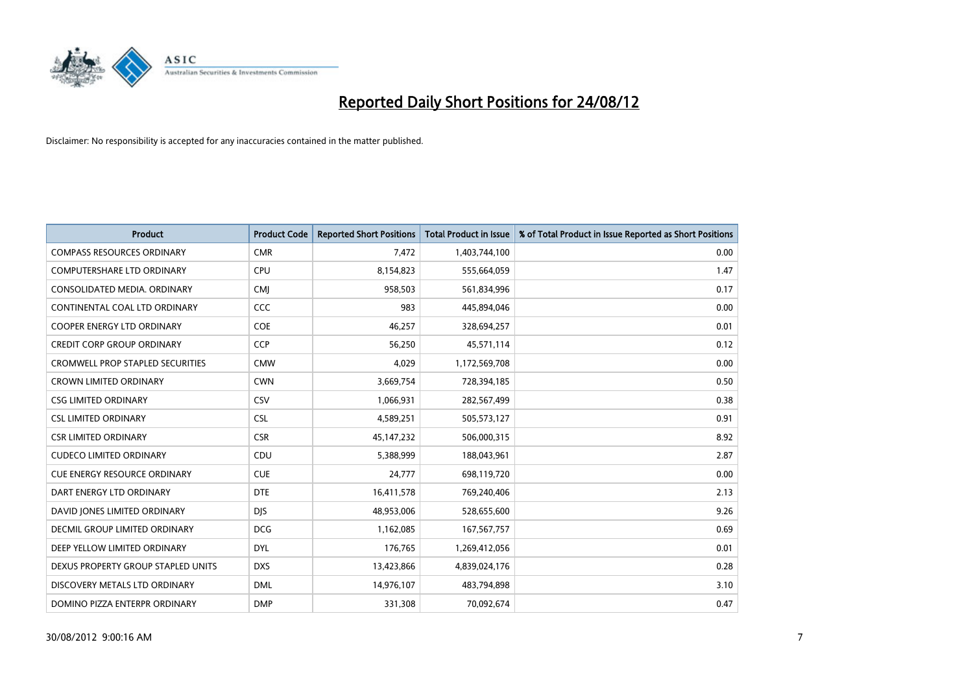

| <b>Product</b>                          | <b>Product Code</b> | <b>Reported Short Positions</b> | <b>Total Product in Issue</b> | % of Total Product in Issue Reported as Short Positions |
|-----------------------------------------|---------------------|---------------------------------|-------------------------------|---------------------------------------------------------|
| <b>COMPASS RESOURCES ORDINARY</b>       | <b>CMR</b>          | 7,472                           | 1,403,744,100                 | 0.00                                                    |
| COMPUTERSHARE LTD ORDINARY              | <b>CPU</b>          | 8,154,823                       | 555,664,059                   | 1.47                                                    |
| CONSOLIDATED MEDIA, ORDINARY            | <b>CMI</b>          | 958,503                         | 561,834,996                   | 0.17                                                    |
| CONTINENTAL COAL LTD ORDINARY           | CCC                 | 983                             | 445,894,046                   | 0.00                                                    |
| <b>COOPER ENERGY LTD ORDINARY</b>       | <b>COE</b>          | 46,257                          | 328,694,257                   | 0.01                                                    |
| <b>CREDIT CORP GROUP ORDINARY</b>       | <b>CCP</b>          | 56,250                          | 45,571,114                    | 0.12                                                    |
| <b>CROMWELL PROP STAPLED SECURITIES</b> | <b>CMW</b>          | 4,029                           | 1,172,569,708                 | 0.00                                                    |
| <b>CROWN LIMITED ORDINARY</b>           | <b>CWN</b>          | 3,669,754                       | 728,394,185                   | 0.50                                                    |
| <b>CSG LIMITED ORDINARY</b>             | CSV                 | 1,066,931                       | 282,567,499                   | 0.38                                                    |
| <b>CSL LIMITED ORDINARY</b>             | <b>CSL</b>          | 4,589,251                       | 505,573,127                   | 0.91                                                    |
| <b>CSR LIMITED ORDINARY</b>             | <b>CSR</b>          | 45, 147, 232                    | 506,000,315                   | 8.92                                                    |
| <b>CUDECO LIMITED ORDINARY</b>          | CDU                 | 5,388,999                       | 188,043,961                   | 2.87                                                    |
| <b>CUE ENERGY RESOURCE ORDINARY</b>     | <b>CUE</b>          | 24,777                          | 698,119,720                   | 0.00                                                    |
| DART ENERGY LTD ORDINARY                | <b>DTE</b>          | 16,411,578                      | 769,240,406                   | 2.13                                                    |
| DAVID JONES LIMITED ORDINARY            | <b>DJS</b>          | 48,953,006                      | 528,655,600                   | 9.26                                                    |
| DECMIL GROUP LIMITED ORDINARY           | <b>DCG</b>          | 1,162,085                       | 167,567,757                   | 0.69                                                    |
| DEEP YELLOW LIMITED ORDINARY            | <b>DYL</b>          | 176,765                         | 1,269,412,056                 | 0.01                                                    |
| DEXUS PROPERTY GROUP STAPLED UNITS      | <b>DXS</b>          | 13,423,866                      | 4,839,024,176                 | 0.28                                                    |
| DISCOVERY METALS LTD ORDINARY           | <b>DML</b>          | 14,976,107                      | 483,794,898                   | 3.10                                                    |
| DOMINO PIZZA ENTERPR ORDINARY           | <b>DMP</b>          | 331,308                         | 70,092,674                    | 0.47                                                    |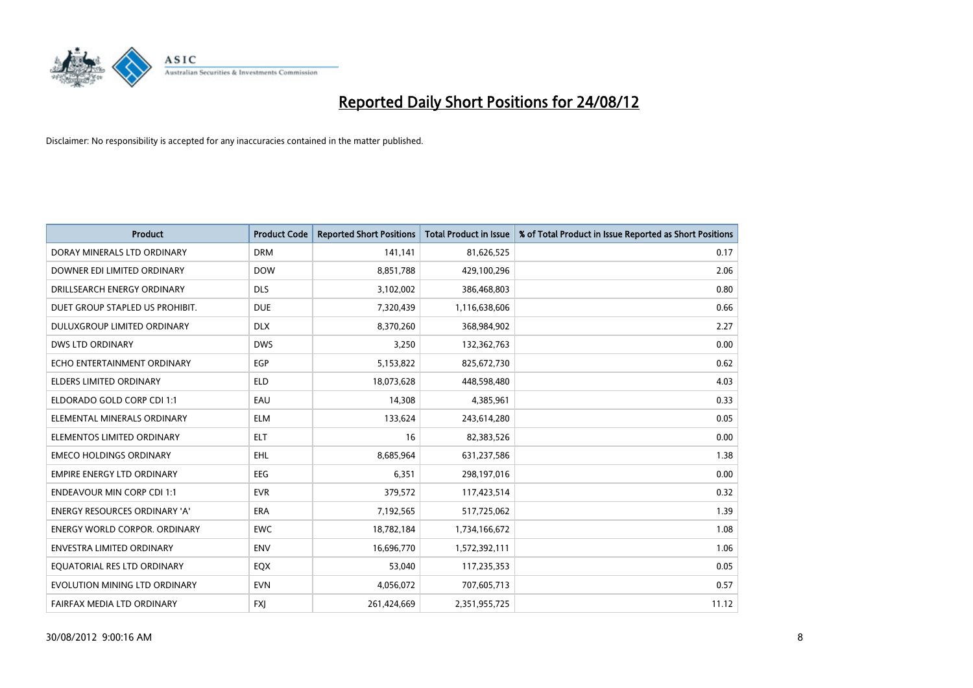

| <b>Product</b>                       | <b>Product Code</b> | <b>Reported Short Positions</b> | <b>Total Product in Issue</b> | % of Total Product in Issue Reported as Short Positions |
|--------------------------------------|---------------------|---------------------------------|-------------------------------|---------------------------------------------------------|
| DORAY MINERALS LTD ORDINARY          | <b>DRM</b>          | 141,141                         | 81,626,525                    | 0.17                                                    |
| DOWNER EDI LIMITED ORDINARY          | <b>DOW</b>          | 8,851,788                       | 429,100,296                   | 2.06                                                    |
| DRILLSEARCH ENERGY ORDINARY          | <b>DLS</b>          | 3,102,002                       | 386,468,803                   | 0.80                                                    |
| DUET GROUP STAPLED US PROHIBIT.      | <b>DUE</b>          | 7,320,439                       | 1,116,638,606                 | 0.66                                                    |
| DULUXGROUP LIMITED ORDINARY          | <b>DLX</b>          | 8,370,260                       | 368,984,902                   | 2.27                                                    |
| <b>DWS LTD ORDINARY</b>              | <b>DWS</b>          | 3,250                           | 132,362,763                   | 0.00                                                    |
| ECHO ENTERTAINMENT ORDINARY          | <b>EGP</b>          | 5,153,822                       | 825,672,730                   | 0.62                                                    |
| ELDERS LIMITED ORDINARY              | <b>ELD</b>          | 18,073,628                      | 448,598,480                   | 4.03                                                    |
| ELDORADO GOLD CORP CDI 1:1           | EAU                 | 14,308                          | 4,385,961                     | 0.33                                                    |
| ELEMENTAL MINERALS ORDINARY          | <b>ELM</b>          | 133,624                         | 243,614,280                   | 0.05                                                    |
| ELEMENTOS LIMITED ORDINARY           | <b>ELT</b>          | 16                              | 82,383,526                    | 0.00                                                    |
| <b>EMECO HOLDINGS ORDINARY</b>       | <b>EHL</b>          | 8,685,964                       | 631,237,586                   | 1.38                                                    |
| <b>EMPIRE ENERGY LTD ORDINARY</b>    | <b>EEG</b>          | 6,351                           | 298,197,016                   | 0.00                                                    |
| <b>ENDEAVOUR MIN CORP CDI 1:1</b>    | <b>EVR</b>          | 379,572                         | 117,423,514                   | 0.32                                                    |
| <b>ENERGY RESOURCES ORDINARY 'A'</b> | <b>ERA</b>          | 7,192,565                       | 517,725,062                   | 1.39                                                    |
| <b>ENERGY WORLD CORPOR. ORDINARY</b> | <b>EWC</b>          | 18,782,184                      | 1,734,166,672                 | 1.08                                                    |
| ENVESTRA LIMITED ORDINARY            | <b>ENV</b>          | 16,696,770                      | 1,572,392,111                 | 1.06                                                    |
| EQUATORIAL RES LTD ORDINARY          | EQX                 | 53,040                          | 117,235,353                   | 0.05                                                    |
| EVOLUTION MINING LTD ORDINARY        | <b>EVN</b>          | 4,056,072                       | 707,605,713                   | 0.57                                                    |
| FAIRFAX MEDIA LTD ORDINARY           | <b>FXI</b>          | 261,424,669                     | 2,351,955,725                 | 11.12                                                   |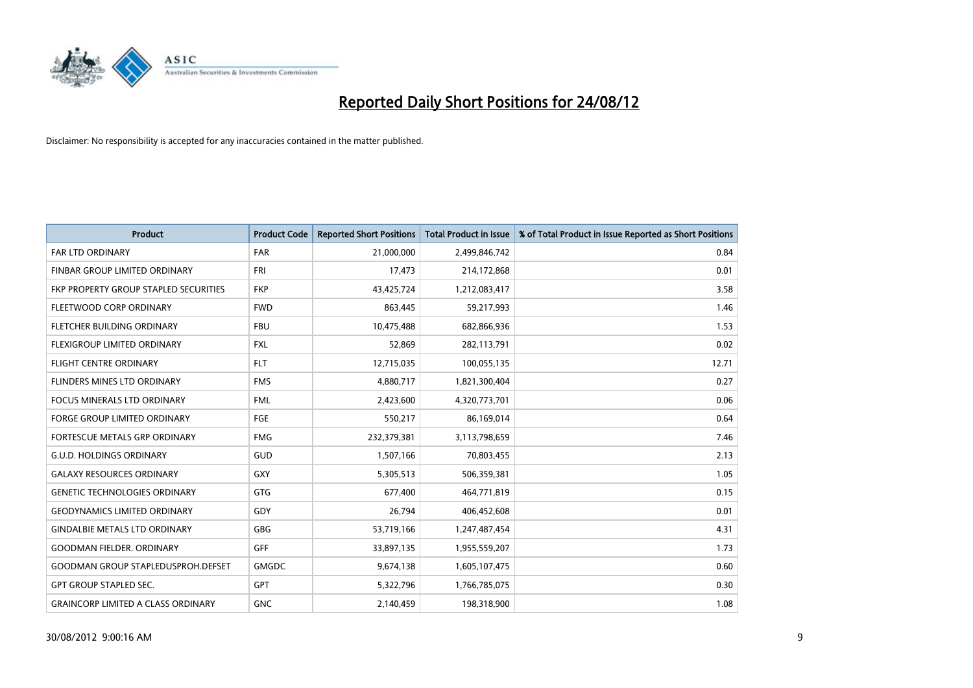

| <b>Product</b>                            | <b>Product Code</b> | <b>Reported Short Positions</b> | <b>Total Product in Issue</b> | % of Total Product in Issue Reported as Short Positions |
|-------------------------------------------|---------------------|---------------------------------|-------------------------------|---------------------------------------------------------|
| <b>FAR LTD ORDINARY</b>                   | <b>FAR</b>          | 21,000,000                      | 2,499,846,742                 | 0.84                                                    |
| FINBAR GROUP LIMITED ORDINARY             | <b>FRI</b>          | 17,473                          | 214,172,868                   | 0.01                                                    |
| FKP PROPERTY GROUP STAPLED SECURITIES     | <b>FKP</b>          | 43,425,724                      | 1,212,083,417                 | 3.58                                                    |
| FLEETWOOD CORP ORDINARY                   | <b>FWD</b>          | 863,445                         | 59,217,993                    | 1.46                                                    |
| FLETCHER BUILDING ORDINARY                | <b>FBU</b>          | 10,475,488                      | 682,866,936                   | 1.53                                                    |
| <b>FLEXIGROUP LIMITED ORDINARY</b>        | <b>FXL</b>          | 52,869                          | 282,113,791                   | 0.02                                                    |
| <b>FLIGHT CENTRE ORDINARY</b>             | <b>FLT</b>          | 12,715,035                      | 100,055,135                   | 12.71                                                   |
| FLINDERS MINES LTD ORDINARY               | <b>FMS</b>          | 4,880,717                       | 1,821,300,404                 | 0.27                                                    |
| FOCUS MINERALS LTD ORDINARY               | <b>FML</b>          | 2,423,600                       | 4,320,773,701                 | 0.06                                                    |
| <b>FORGE GROUP LIMITED ORDINARY</b>       | FGE                 | 550,217                         | 86,169,014                    | 0.64                                                    |
| FORTESCUE METALS GRP ORDINARY             | <b>FMG</b>          | 232,379,381                     | 3,113,798,659                 | 7.46                                                    |
| <b>G.U.D. HOLDINGS ORDINARY</b>           | GUD                 | 1,507,166                       | 70,803,455                    | 2.13                                                    |
| <b>GALAXY RESOURCES ORDINARY</b>          | GXY                 | 5,305,513                       | 506,359,381                   | 1.05                                                    |
| <b>GENETIC TECHNOLOGIES ORDINARY</b>      | <b>GTG</b>          | 677.400                         | 464,771,819                   | 0.15                                                    |
| <b>GEODYNAMICS LIMITED ORDINARY</b>       | GDY                 | 26,794                          | 406,452,608                   | 0.01                                                    |
| <b>GINDALBIE METALS LTD ORDINARY</b>      | <b>GBG</b>          | 53,719,166                      | 1,247,487,454                 | 4.31                                                    |
| <b>GOODMAN FIELDER, ORDINARY</b>          | <b>GFF</b>          | 33,897,135                      | 1,955,559,207                 | 1.73                                                    |
| <b>GOODMAN GROUP STAPLEDUSPROH.DEFSET</b> | <b>GMGDC</b>        | 9,674,138                       | 1,605,107,475                 | 0.60                                                    |
| <b>GPT GROUP STAPLED SEC.</b>             | <b>GPT</b>          | 5,322,796                       | 1,766,785,075                 | 0.30                                                    |
| <b>GRAINCORP LIMITED A CLASS ORDINARY</b> | <b>GNC</b>          | 2,140,459                       | 198,318,900                   | 1.08                                                    |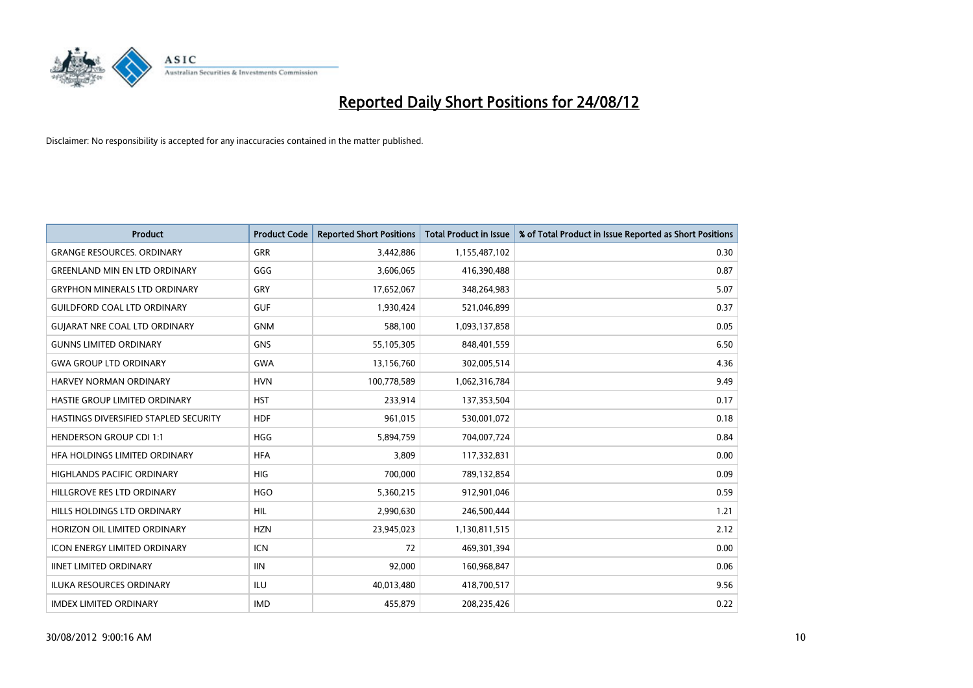

| <b>Product</b>                        | <b>Product Code</b> | <b>Reported Short Positions</b> | <b>Total Product in Issue</b> | % of Total Product in Issue Reported as Short Positions |
|---------------------------------------|---------------------|---------------------------------|-------------------------------|---------------------------------------------------------|
| <b>GRANGE RESOURCES, ORDINARY</b>     | <b>GRR</b>          | 3,442,886                       | 1,155,487,102                 | 0.30                                                    |
| <b>GREENLAND MIN EN LTD ORDINARY</b>  | GGG                 | 3,606,065                       | 416,390,488                   | 0.87                                                    |
| <b>GRYPHON MINERALS LTD ORDINARY</b>  | GRY                 | 17,652,067                      | 348,264,983                   | 5.07                                                    |
| <b>GUILDFORD COAL LTD ORDINARY</b>    | <b>GUF</b>          | 1,930,424                       | 521,046,899                   | 0.37                                                    |
| <b>GUIARAT NRE COAL LTD ORDINARY</b>  | <b>GNM</b>          | 588,100                         | 1,093,137,858                 | 0.05                                                    |
| <b>GUNNS LIMITED ORDINARY</b>         | <b>GNS</b>          | 55,105,305                      | 848,401,559                   | 6.50                                                    |
| <b>GWA GROUP LTD ORDINARY</b>         | <b>GWA</b>          | 13,156,760                      | 302,005,514                   | 4.36                                                    |
| HARVEY NORMAN ORDINARY                | <b>HVN</b>          | 100,778,589                     | 1,062,316,784                 | 9.49                                                    |
| HASTIE GROUP LIMITED ORDINARY         | <b>HST</b>          | 233,914                         | 137,353,504                   | 0.17                                                    |
| HASTINGS DIVERSIFIED STAPLED SECURITY | <b>HDF</b>          | 961,015                         | 530,001,072                   | 0.18                                                    |
| <b>HENDERSON GROUP CDI 1:1</b>        | <b>HGG</b>          | 5,894,759                       | 704,007,724                   | 0.84                                                    |
| HFA HOLDINGS LIMITED ORDINARY         | <b>HFA</b>          | 3,809                           | 117,332,831                   | 0.00                                                    |
| <b>HIGHLANDS PACIFIC ORDINARY</b>     | <b>HIG</b>          | 700,000                         | 789,132,854                   | 0.09                                                    |
| HILLGROVE RES LTD ORDINARY            | <b>HGO</b>          | 5,360,215                       | 912,901,046                   | 0.59                                                    |
| HILLS HOLDINGS LTD ORDINARY           | <b>HIL</b>          | 2,990,630                       | 246,500,444                   | 1.21                                                    |
| HORIZON OIL LIMITED ORDINARY          | <b>HZN</b>          | 23,945,023                      | 1,130,811,515                 | 2.12                                                    |
| ICON ENERGY LIMITED ORDINARY          | <b>ICN</b>          | 72                              | 469,301,394                   | 0.00                                                    |
| <b>IINET LIMITED ORDINARY</b>         | <b>IIN</b>          | 92,000                          | 160,968,847                   | 0.06                                                    |
| <b>ILUKA RESOURCES ORDINARY</b>       | ILU                 | 40,013,480                      | 418,700,517                   | 9.56                                                    |
| <b>IMDEX LIMITED ORDINARY</b>         | <b>IMD</b>          | 455,879                         | 208,235,426                   | 0.22                                                    |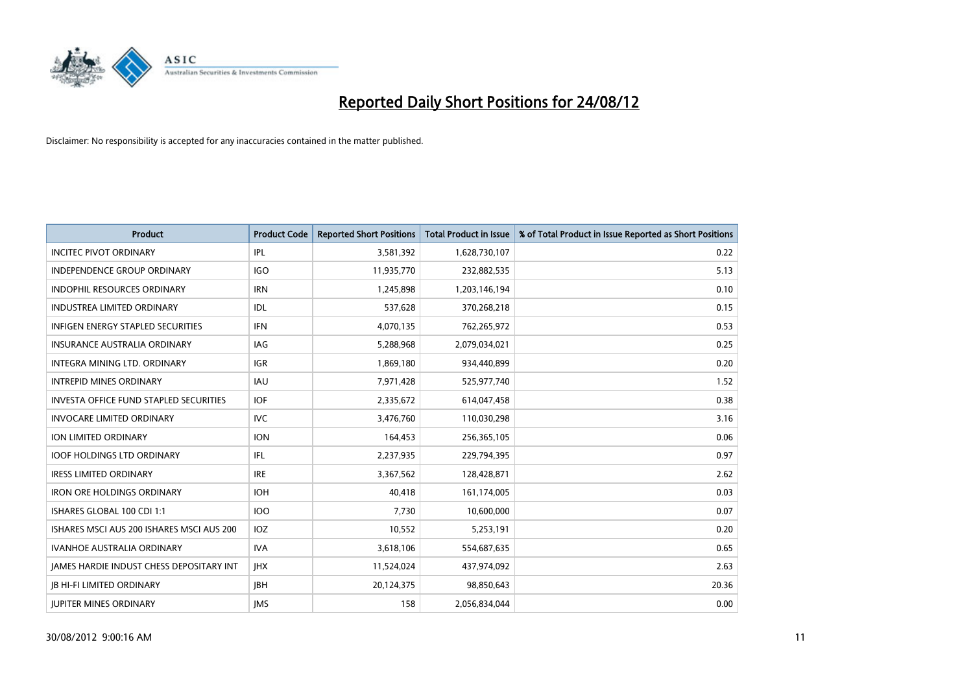

| <b>Product</b>                            | <b>Product Code</b> | <b>Reported Short Positions</b> | <b>Total Product in Issue</b> | % of Total Product in Issue Reported as Short Positions |
|-------------------------------------------|---------------------|---------------------------------|-------------------------------|---------------------------------------------------------|
| <b>INCITEC PIVOT ORDINARY</b>             | IPL                 | 3,581,392                       | 1,628,730,107                 | 0.22                                                    |
| INDEPENDENCE GROUP ORDINARY               | <b>IGO</b>          | 11,935,770                      | 232,882,535                   | 5.13                                                    |
| <b>INDOPHIL RESOURCES ORDINARY</b>        | <b>IRN</b>          | 1,245,898                       | 1,203,146,194                 | 0.10                                                    |
| INDUSTREA LIMITED ORDINARY                | <b>IDL</b>          | 537,628                         | 370,268,218                   | 0.15                                                    |
| <b>INFIGEN ENERGY STAPLED SECURITIES</b>  | <b>IFN</b>          | 4,070,135                       | 762,265,972                   | 0.53                                                    |
| <b>INSURANCE AUSTRALIA ORDINARY</b>       | IAG                 | 5,288,968                       | 2,079,034,021                 | 0.25                                                    |
| <b>INTEGRA MINING LTD, ORDINARY</b>       | <b>IGR</b>          | 1,869,180                       | 934,440,899                   | 0.20                                                    |
| <b>INTREPID MINES ORDINARY</b>            | <b>IAU</b>          | 7,971,428                       | 525,977,740                   | 1.52                                                    |
| INVESTA OFFICE FUND STAPLED SECURITIES    | <b>IOF</b>          | 2,335,672                       | 614,047,458                   | 0.38                                                    |
| <b>INVOCARE LIMITED ORDINARY</b>          | IVC.                | 3,476,760                       | 110,030,298                   | 3.16                                                    |
| <b>ION LIMITED ORDINARY</b>               | <b>ION</b>          | 164,453                         | 256,365,105                   | 0.06                                                    |
| <b>IOOF HOLDINGS LTD ORDINARY</b>         | IFL.                | 2,237,935                       | 229,794,395                   | 0.97                                                    |
| <b>IRESS LIMITED ORDINARY</b>             | <b>IRE</b>          | 3,367,562                       | 128,428,871                   | 2.62                                                    |
| <b>IRON ORE HOLDINGS ORDINARY</b>         | <b>IOH</b>          | 40,418                          | 161,174,005                   | 0.03                                                    |
| ISHARES GLOBAL 100 CDI 1:1                | 100                 | 7,730                           | 10,600,000                    | 0.07                                                    |
| ISHARES MSCI AUS 200 ISHARES MSCI AUS 200 | <b>IOZ</b>          | 10,552                          | 5,253,191                     | 0.20                                                    |
| <b>IVANHOE AUSTRALIA ORDINARY</b>         | <b>IVA</b>          | 3,618,106                       | 554,687,635                   | 0.65                                                    |
| JAMES HARDIE INDUST CHESS DEPOSITARY INT  | <b>IHX</b>          | 11,524,024                      | 437,974,092                   | 2.63                                                    |
| <b>IB HI-FI LIMITED ORDINARY</b>          | <b>IBH</b>          | 20,124,375                      | 98,850,643                    | 20.36                                                   |
| <b>IUPITER MINES ORDINARY</b>             | <b>IMS</b>          | 158                             | 2,056,834,044                 | 0.00                                                    |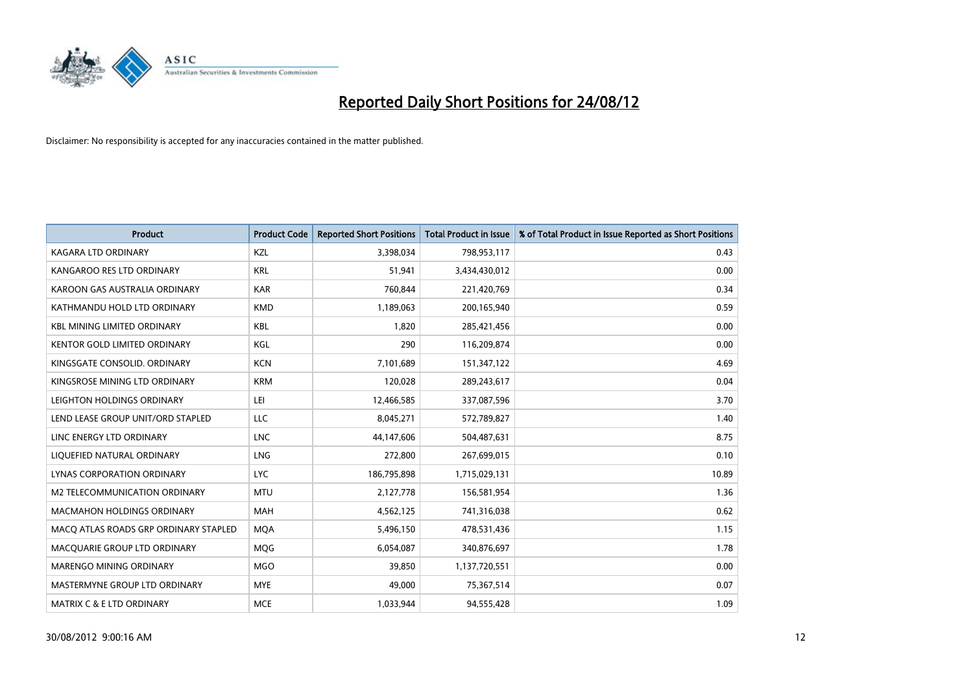

| <b>Product</b>                        | <b>Product Code</b> | <b>Reported Short Positions</b> | <b>Total Product in Issue</b> | % of Total Product in Issue Reported as Short Positions |
|---------------------------------------|---------------------|---------------------------------|-------------------------------|---------------------------------------------------------|
| <b>KAGARA LTD ORDINARY</b>            | KZL                 | 3,398,034                       | 798,953,117                   | 0.43                                                    |
| KANGAROO RES LTD ORDINARY             | <b>KRL</b>          | 51,941                          | 3,434,430,012                 | 0.00                                                    |
| KAROON GAS AUSTRALIA ORDINARY         | <b>KAR</b>          | 760,844                         | 221,420,769                   | 0.34                                                    |
| KATHMANDU HOLD LTD ORDINARY           | <b>KMD</b>          | 1,189,063                       | 200,165,940                   | 0.59                                                    |
| <b>KBL MINING LIMITED ORDINARY</b>    | <b>KBL</b>          | 1,820                           | 285,421,456                   | 0.00                                                    |
| <b>KENTOR GOLD LIMITED ORDINARY</b>   | KGL                 | 290                             | 116,209,874                   | 0.00                                                    |
| KINGSGATE CONSOLID. ORDINARY          | <b>KCN</b>          | 7,101,689                       | 151,347,122                   | 4.69                                                    |
| KINGSROSE MINING LTD ORDINARY         | <b>KRM</b>          | 120,028                         | 289,243,617                   | 0.04                                                    |
| LEIGHTON HOLDINGS ORDINARY            | LEI                 | 12,466,585                      | 337,087,596                   | 3.70                                                    |
| LEND LEASE GROUP UNIT/ORD STAPLED     | <b>LLC</b>          | 8,045,271                       | 572,789,827                   | 1.40                                                    |
| LINC ENERGY LTD ORDINARY              | <b>LNC</b>          | 44,147,606                      | 504,487,631                   | 8.75                                                    |
| LIQUEFIED NATURAL ORDINARY            | <b>LNG</b>          | 272,800                         | 267,699,015                   | 0.10                                                    |
| LYNAS CORPORATION ORDINARY            | <b>LYC</b>          | 186,795,898                     | 1,715,029,131                 | 10.89                                                   |
| M2 TELECOMMUNICATION ORDINARY         | <b>MTU</b>          | 2,127,778                       | 156,581,954                   | 1.36                                                    |
| <b>MACMAHON HOLDINGS ORDINARY</b>     | <b>MAH</b>          | 4,562,125                       | 741,316,038                   | 0.62                                                    |
| MACQ ATLAS ROADS GRP ORDINARY STAPLED | <b>MQA</b>          | 5,496,150                       | 478,531,436                   | 1.15                                                    |
| MACQUARIE GROUP LTD ORDINARY          | <b>MOG</b>          | 6,054,087                       | 340,876,697                   | 1.78                                                    |
| MARENGO MINING ORDINARY               | <b>MGO</b>          | 39,850                          | 1,137,720,551                 | 0.00                                                    |
| MASTERMYNE GROUP LTD ORDINARY         | <b>MYE</b>          | 49,000                          | 75,367,514                    | 0.07                                                    |
| MATRIX C & E LTD ORDINARY             | <b>MCE</b>          | 1,033,944                       | 94,555,428                    | 1.09                                                    |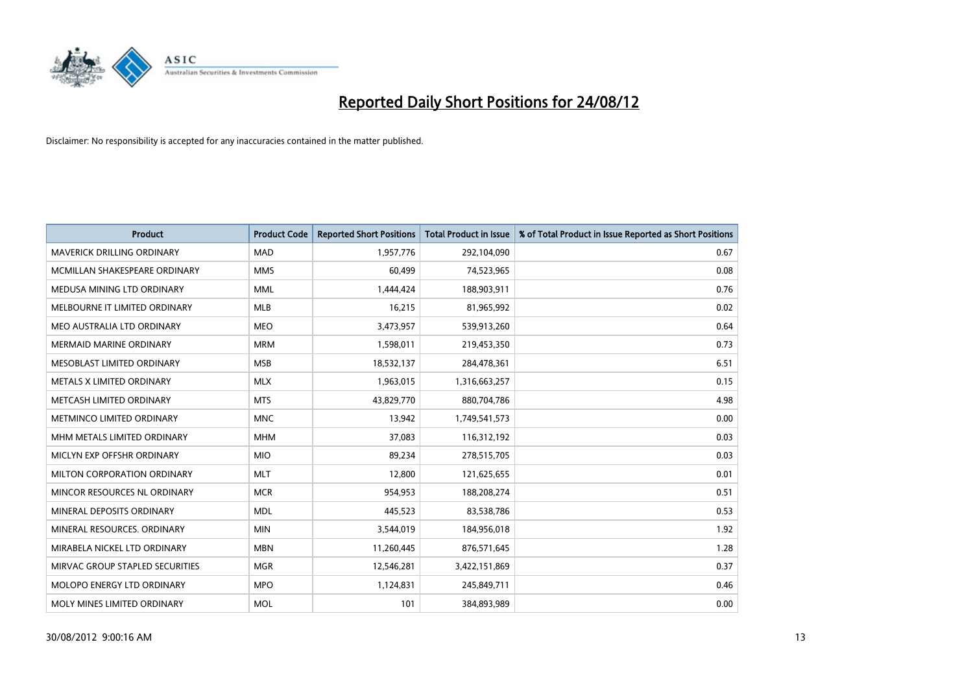

| <b>Product</b>                    | <b>Product Code</b> | <b>Reported Short Positions</b> | <b>Total Product in Issue</b> | % of Total Product in Issue Reported as Short Positions |
|-----------------------------------|---------------------|---------------------------------|-------------------------------|---------------------------------------------------------|
| <b>MAVERICK DRILLING ORDINARY</b> | <b>MAD</b>          | 1,957,776                       | 292,104,090                   | 0.67                                                    |
| MCMILLAN SHAKESPEARE ORDINARY     | <b>MMS</b>          | 60,499                          | 74,523,965                    | 0.08                                                    |
| MEDUSA MINING LTD ORDINARY        | <b>MML</b>          | 1,444,424                       | 188,903,911                   | 0.76                                                    |
| MELBOURNE IT LIMITED ORDINARY     | <b>MLB</b>          | 16,215                          | 81,965,992                    | 0.02                                                    |
| MEO AUSTRALIA LTD ORDINARY        | <b>MEO</b>          | 3,473,957                       | 539,913,260                   | 0.64                                                    |
| <b>MERMAID MARINE ORDINARY</b>    | <b>MRM</b>          | 1,598,011                       | 219,453,350                   | 0.73                                                    |
| <b>MESOBLAST LIMITED ORDINARY</b> | <b>MSB</b>          | 18,532,137                      | 284,478,361                   | 6.51                                                    |
| METALS X LIMITED ORDINARY         | <b>MLX</b>          | 1,963,015                       | 1,316,663,257                 | 0.15                                                    |
| METCASH LIMITED ORDINARY          | <b>MTS</b>          | 43,829,770                      | 880,704,786                   | 4.98                                                    |
| METMINCO LIMITED ORDINARY         | <b>MNC</b>          | 13,942                          | 1,749,541,573                 | 0.00                                                    |
| MHM METALS LIMITED ORDINARY       | <b>MHM</b>          | 37,083                          | 116,312,192                   | 0.03                                                    |
| MICLYN EXP OFFSHR ORDINARY        | <b>MIO</b>          | 89,234                          | 278,515,705                   | 0.03                                                    |
| MILTON CORPORATION ORDINARY       | <b>MLT</b>          | 12,800                          | 121,625,655                   | 0.01                                                    |
| MINCOR RESOURCES NL ORDINARY      | <b>MCR</b>          | 954,953                         | 188,208,274                   | 0.51                                                    |
| MINERAL DEPOSITS ORDINARY         | <b>MDL</b>          | 445,523                         | 83,538,786                    | 0.53                                                    |
| MINERAL RESOURCES. ORDINARY       | <b>MIN</b>          | 3,544,019                       | 184,956,018                   | 1.92                                                    |
| MIRABELA NICKEL LTD ORDINARY      | <b>MBN</b>          | 11,260,445                      | 876,571,645                   | 1.28                                                    |
| MIRVAC GROUP STAPLED SECURITIES   | <b>MGR</b>          | 12,546,281                      | 3,422,151,869                 | 0.37                                                    |
| MOLOPO ENERGY LTD ORDINARY        | <b>MPO</b>          | 1,124,831                       | 245,849,711                   | 0.46                                                    |
| MOLY MINES LIMITED ORDINARY       | <b>MOL</b>          | 101                             | 384,893,989                   | 0.00                                                    |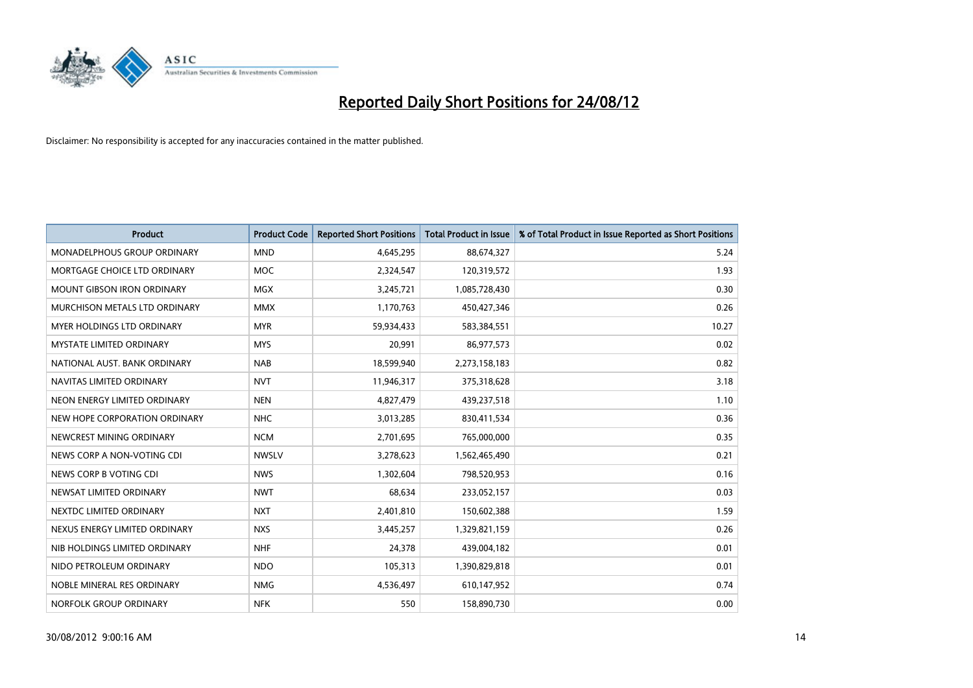

| <b>Product</b>                     | <b>Product Code</b> | <b>Reported Short Positions</b> | Total Product in Issue | % of Total Product in Issue Reported as Short Positions |
|------------------------------------|---------------------|---------------------------------|------------------------|---------------------------------------------------------|
| <b>MONADELPHOUS GROUP ORDINARY</b> | <b>MND</b>          | 4,645,295                       | 88,674,327             | 5.24                                                    |
| MORTGAGE CHOICE LTD ORDINARY       | <b>MOC</b>          | 2,324,547                       | 120,319,572            | 1.93                                                    |
| <b>MOUNT GIBSON IRON ORDINARY</b>  | <b>MGX</b>          | 3,245,721                       | 1,085,728,430          | 0.30                                                    |
| MURCHISON METALS LTD ORDINARY      | <b>MMX</b>          | 1,170,763                       | 450,427,346            | 0.26                                                    |
| <b>MYER HOLDINGS LTD ORDINARY</b>  | <b>MYR</b>          | 59,934,433                      | 583,384,551            | 10.27                                                   |
| MYSTATE LIMITED ORDINARY           | <b>MYS</b>          | 20,991                          | 86,977,573             | 0.02                                                    |
| NATIONAL AUST. BANK ORDINARY       | <b>NAB</b>          | 18,599,940                      | 2,273,158,183          | 0.82                                                    |
| NAVITAS LIMITED ORDINARY           | <b>NVT</b>          | 11,946,317                      | 375,318,628            | 3.18                                                    |
| NEON ENERGY LIMITED ORDINARY       | <b>NEN</b>          | 4,827,479                       | 439,237,518            | 1.10                                                    |
| NEW HOPE CORPORATION ORDINARY      | <b>NHC</b>          | 3,013,285                       | 830,411,534            | 0.36                                                    |
| NEWCREST MINING ORDINARY           | <b>NCM</b>          | 2,701,695                       | 765,000,000            | 0.35                                                    |
| NEWS CORP A NON-VOTING CDI         | <b>NWSLV</b>        | 3,278,623                       | 1,562,465,490          | 0.21                                                    |
| NEWS CORP B VOTING CDI             | <b>NWS</b>          | 1,302,604                       | 798,520,953            | 0.16                                                    |
| NEWSAT LIMITED ORDINARY            | <b>NWT</b>          | 68,634                          | 233,052,157            | 0.03                                                    |
| NEXTDC LIMITED ORDINARY            | <b>NXT</b>          | 2,401,810                       | 150,602,388            | 1.59                                                    |
| NEXUS ENERGY LIMITED ORDINARY      | <b>NXS</b>          | 3,445,257                       | 1,329,821,159          | 0.26                                                    |
| NIB HOLDINGS LIMITED ORDINARY      | <b>NHF</b>          | 24,378                          | 439,004,182            | 0.01                                                    |
| NIDO PETROLEUM ORDINARY            | <b>NDO</b>          | 105,313                         | 1,390,829,818          | 0.01                                                    |
| NOBLE MINERAL RES ORDINARY         | <b>NMG</b>          | 4,536,497                       | 610,147,952            | 0.74                                                    |
| NORFOLK GROUP ORDINARY             | <b>NFK</b>          | 550                             | 158,890,730            | 0.00                                                    |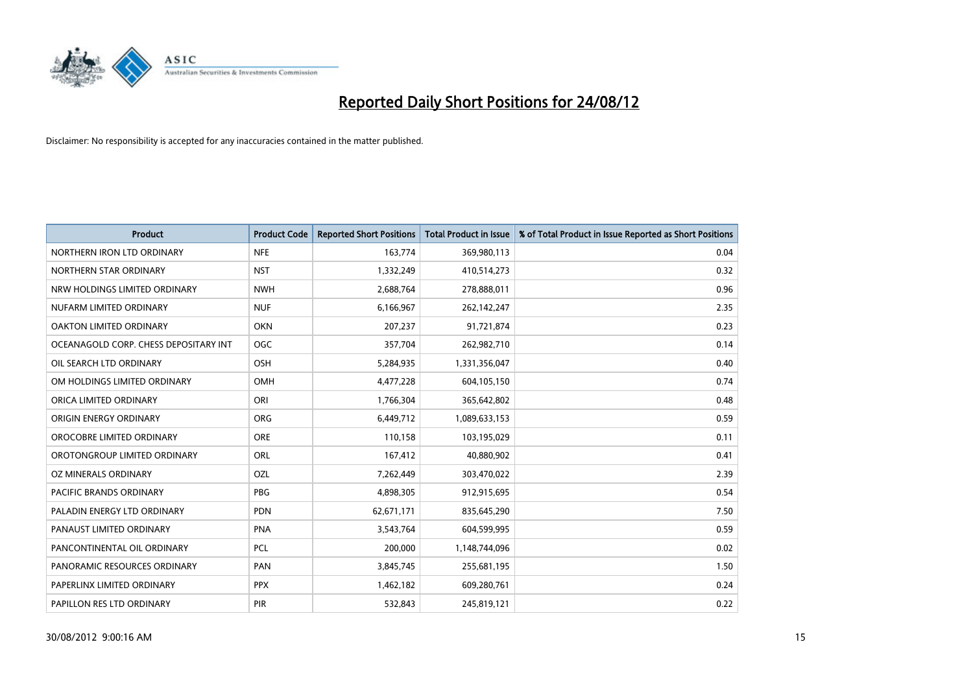

| <b>Product</b>                        | <b>Product Code</b> | <b>Reported Short Positions</b> | <b>Total Product in Issue</b> | % of Total Product in Issue Reported as Short Positions |
|---------------------------------------|---------------------|---------------------------------|-------------------------------|---------------------------------------------------------|
| NORTHERN IRON LTD ORDINARY            | <b>NFE</b>          | 163,774                         | 369,980,113                   | 0.04                                                    |
| NORTHERN STAR ORDINARY                | <b>NST</b>          | 1,332,249                       | 410,514,273                   | 0.32                                                    |
| NRW HOLDINGS LIMITED ORDINARY         | <b>NWH</b>          | 2,688,764                       | 278,888,011                   | 0.96                                                    |
| NUFARM LIMITED ORDINARY               | <b>NUF</b>          | 6,166,967                       | 262,142,247                   | 2.35                                                    |
| OAKTON LIMITED ORDINARY               | <b>OKN</b>          | 207,237                         | 91,721,874                    | 0.23                                                    |
| OCEANAGOLD CORP. CHESS DEPOSITARY INT | <b>OGC</b>          | 357,704                         | 262,982,710                   | 0.14                                                    |
| OIL SEARCH LTD ORDINARY               | <b>OSH</b>          | 5,284,935                       | 1,331,356,047                 | 0.40                                                    |
| OM HOLDINGS LIMITED ORDINARY          | OMH                 | 4,477,228                       | 604,105,150                   | 0.74                                                    |
| ORICA LIMITED ORDINARY                | ORI                 | 1,766,304                       | 365,642,802                   | 0.48                                                    |
| ORIGIN ENERGY ORDINARY                | <b>ORG</b>          | 6,449,712                       | 1,089,633,153                 | 0.59                                                    |
| OROCOBRE LIMITED ORDINARY             | <b>ORE</b>          | 110,158                         | 103,195,029                   | 0.11                                                    |
| OROTONGROUP LIMITED ORDINARY          | ORL                 | 167,412                         | 40,880,902                    | 0.41                                                    |
| OZ MINERALS ORDINARY                  | OZL                 | 7,262,449                       | 303,470,022                   | 2.39                                                    |
| PACIFIC BRANDS ORDINARY               | <b>PBG</b>          | 4,898,305                       | 912,915,695                   | 0.54                                                    |
| PALADIN ENERGY LTD ORDINARY           | <b>PDN</b>          | 62,671,171                      | 835,645,290                   | 7.50                                                    |
| PANAUST LIMITED ORDINARY              | <b>PNA</b>          | 3,543,764                       | 604,599,995                   | 0.59                                                    |
| PANCONTINENTAL OIL ORDINARY           | <b>PCL</b>          | 200,000                         | 1,148,744,096                 | 0.02                                                    |
| PANORAMIC RESOURCES ORDINARY          | PAN                 | 3,845,745                       | 255,681,195                   | 1.50                                                    |
| PAPERLINX LIMITED ORDINARY            | <b>PPX</b>          | 1,462,182                       | 609,280,761                   | 0.24                                                    |
| PAPILLON RES LTD ORDINARY             | <b>PIR</b>          | 532,843                         | 245,819,121                   | 0.22                                                    |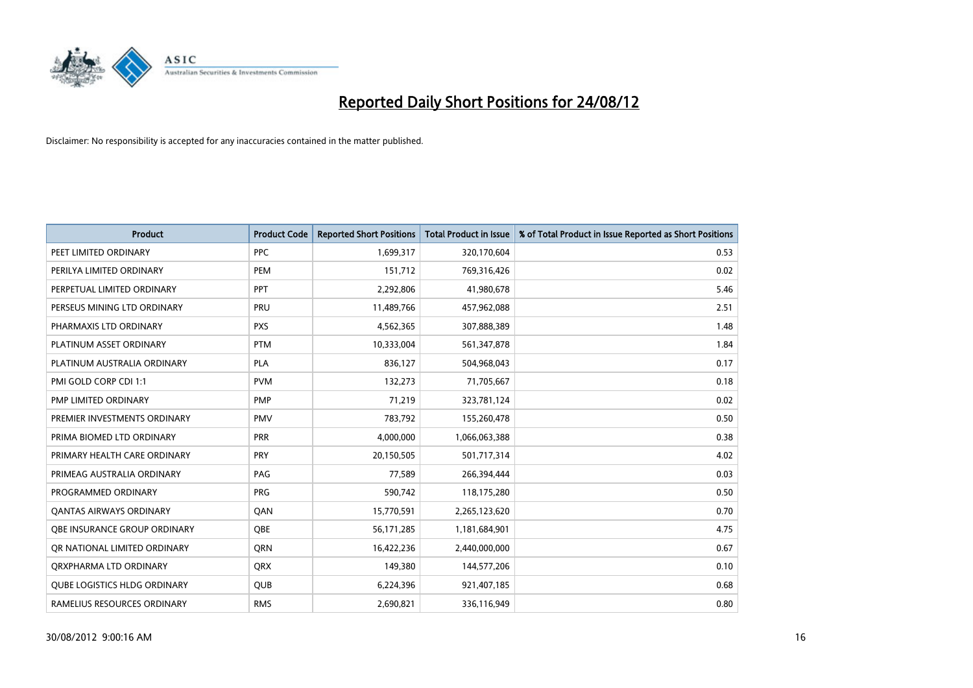

| <b>Product</b>                      | <b>Product Code</b> | <b>Reported Short Positions</b> | <b>Total Product in Issue</b> | % of Total Product in Issue Reported as Short Positions |
|-------------------------------------|---------------------|---------------------------------|-------------------------------|---------------------------------------------------------|
| PEET LIMITED ORDINARY               | <b>PPC</b>          | 1,699,317                       | 320,170,604                   | 0.53                                                    |
| PERILYA LIMITED ORDINARY            | PEM                 | 151,712                         | 769,316,426                   | 0.02                                                    |
| PERPETUAL LIMITED ORDINARY          | PPT                 | 2,292,806                       | 41,980,678                    | 5.46                                                    |
| PERSEUS MINING LTD ORDINARY         | PRU                 | 11,489,766                      | 457,962,088                   | 2.51                                                    |
| PHARMAXIS LTD ORDINARY              | <b>PXS</b>          | 4,562,365                       | 307,888,389                   | 1.48                                                    |
| PLATINUM ASSET ORDINARY             | <b>PTM</b>          | 10,333,004                      | 561,347,878                   | 1.84                                                    |
| PLATINUM AUSTRALIA ORDINARY         | <b>PLA</b>          | 836,127                         | 504,968,043                   | 0.17                                                    |
| PMI GOLD CORP CDI 1:1               | <b>PVM</b>          | 132,273                         | 71,705,667                    | 0.18                                                    |
| PMP LIMITED ORDINARY                | <b>PMP</b>          | 71,219                          | 323,781,124                   | 0.02                                                    |
| PREMIER INVESTMENTS ORDINARY        | <b>PMV</b>          | 783,792                         | 155,260,478                   | 0.50                                                    |
| PRIMA BIOMED LTD ORDINARY           | <b>PRR</b>          | 4,000,000                       | 1,066,063,388                 | 0.38                                                    |
| PRIMARY HEALTH CARE ORDINARY        | PRY                 | 20,150,505                      | 501,717,314                   | 4.02                                                    |
| PRIMEAG AUSTRALIA ORDINARY          | PAG                 | 77,589                          | 266,394,444                   | 0.03                                                    |
| PROGRAMMED ORDINARY                 | <b>PRG</b>          | 590,742                         | 118,175,280                   | 0.50                                                    |
| <b>QANTAS AIRWAYS ORDINARY</b>      | QAN                 | 15,770,591                      | 2,265,123,620                 | 0.70                                                    |
| <b>OBE INSURANCE GROUP ORDINARY</b> | <b>OBE</b>          | 56,171,285                      | 1,181,684,901                 | 4.75                                                    |
| OR NATIONAL LIMITED ORDINARY        | <b>ORN</b>          | 16,422,236                      | 2,440,000,000                 | 0.67                                                    |
| ORXPHARMA LTD ORDINARY              | <b>QRX</b>          | 149,380                         | 144,577,206                   | 0.10                                                    |
| <b>QUBE LOGISTICS HLDG ORDINARY</b> | <b>QUB</b>          | 6,224,396                       | 921,407,185                   | 0.68                                                    |
| RAMELIUS RESOURCES ORDINARY         | <b>RMS</b>          | 2,690,821                       | 336,116,949                   | 0.80                                                    |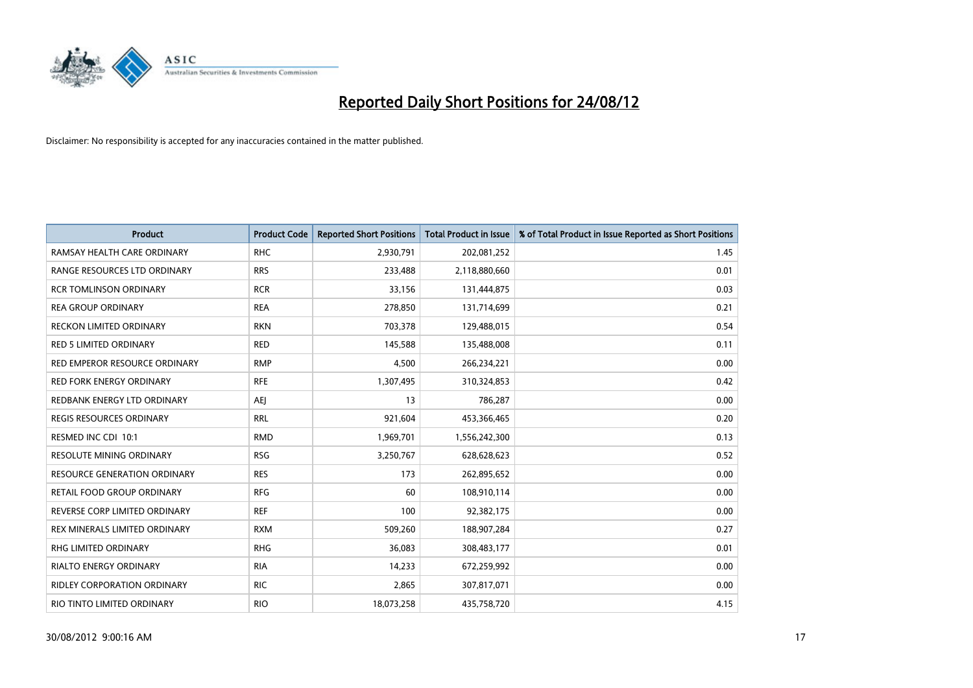

| <b>Product</b>                     | <b>Product Code</b> | <b>Reported Short Positions</b> | <b>Total Product in Issue</b> | % of Total Product in Issue Reported as Short Positions |
|------------------------------------|---------------------|---------------------------------|-------------------------------|---------------------------------------------------------|
| RAMSAY HEALTH CARE ORDINARY        | <b>RHC</b>          | 2,930,791                       | 202,081,252                   | 1.45                                                    |
| RANGE RESOURCES LTD ORDINARY       | <b>RRS</b>          | 233,488                         | 2,118,880,660                 | 0.01                                                    |
| <b>RCR TOMLINSON ORDINARY</b>      | <b>RCR</b>          | 33,156                          | 131,444,875                   | 0.03                                                    |
| <b>REA GROUP ORDINARY</b>          | <b>REA</b>          | 278,850                         | 131,714,699                   | 0.21                                                    |
| RECKON LIMITED ORDINARY            | <b>RKN</b>          | 703,378                         | 129,488,015                   | 0.54                                                    |
| <b>RED 5 LIMITED ORDINARY</b>      | <b>RED</b>          | 145,588                         | 135,488,008                   | 0.11                                                    |
| RED EMPEROR RESOURCE ORDINARY      | <b>RMP</b>          | 4,500                           | 266,234,221                   | 0.00                                                    |
| RED FORK ENERGY ORDINARY           | <b>RFE</b>          | 1,307,495                       | 310,324,853                   | 0.42                                                    |
| REDBANK ENERGY LTD ORDINARY        | AEJ                 | 13                              | 786,287                       | 0.00                                                    |
| <b>REGIS RESOURCES ORDINARY</b>    | <b>RRL</b>          | 921,604                         | 453,366,465                   | 0.20                                                    |
| RESMED INC CDI 10:1                | <b>RMD</b>          | 1,969,701                       | 1,556,242,300                 | 0.13                                                    |
| <b>RESOLUTE MINING ORDINARY</b>    | <b>RSG</b>          | 3,250,767                       | 628,628,623                   | 0.52                                                    |
| RESOURCE GENERATION ORDINARY       | <b>RES</b>          | 173                             | 262,895,652                   | 0.00                                                    |
| RETAIL FOOD GROUP ORDINARY         | <b>RFG</b>          | 60                              | 108,910,114                   | 0.00                                                    |
| REVERSE CORP LIMITED ORDINARY      | <b>REF</b>          | 100                             | 92,382,175                    | 0.00                                                    |
| REX MINERALS LIMITED ORDINARY      | <b>RXM</b>          | 509,260                         | 188,907,284                   | 0.27                                                    |
| RHG LIMITED ORDINARY               | <b>RHG</b>          | 36,083                          | 308,483,177                   | 0.01                                                    |
| RIALTO ENERGY ORDINARY             | <b>RIA</b>          | 14,233                          | 672,259,992                   | 0.00                                                    |
| <b>RIDLEY CORPORATION ORDINARY</b> | <b>RIC</b>          | 2,865                           | 307,817,071                   | 0.00                                                    |
| RIO TINTO LIMITED ORDINARY         | <b>RIO</b>          | 18,073,258                      | 435,758,720                   | 4.15                                                    |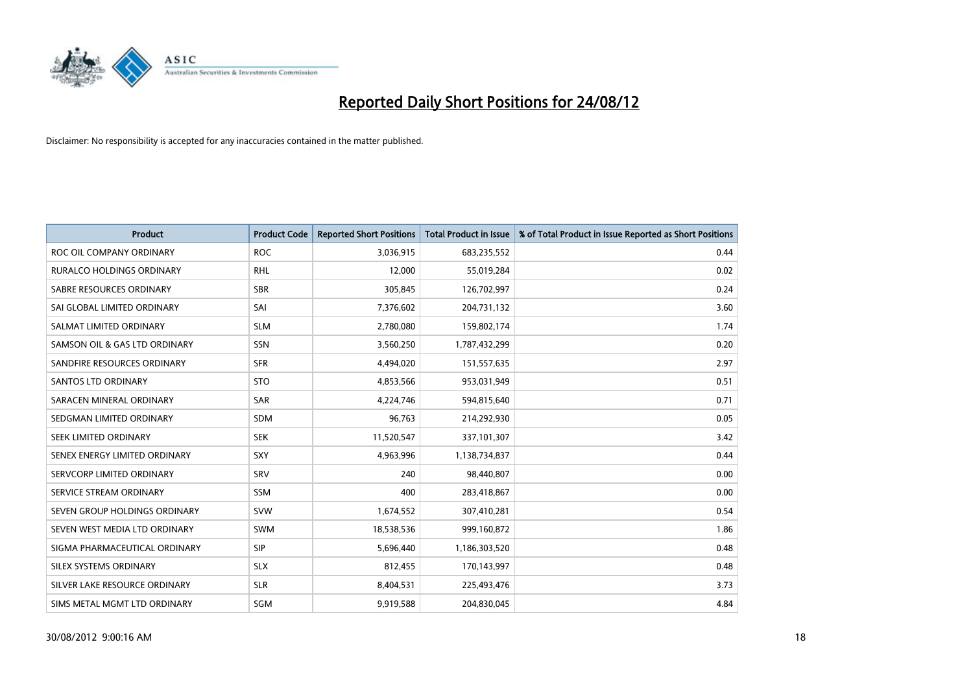

| <b>Product</b>                | <b>Product Code</b> | <b>Reported Short Positions</b> | <b>Total Product in Issue</b> | % of Total Product in Issue Reported as Short Positions |
|-------------------------------|---------------------|---------------------------------|-------------------------------|---------------------------------------------------------|
| ROC OIL COMPANY ORDINARY      | <b>ROC</b>          | 3,036,915                       | 683,235,552                   | 0.44                                                    |
| RURALCO HOLDINGS ORDINARY     | <b>RHL</b>          | 12,000                          | 55,019,284                    | 0.02                                                    |
| SABRE RESOURCES ORDINARY      | <b>SBR</b>          | 305,845                         | 126,702,997                   | 0.24                                                    |
| SAI GLOBAL LIMITED ORDINARY   | SAI                 | 7,376,602                       | 204,731,132                   | 3.60                                                    |
| SALMAT LIMITED ORDINARY       | <b>SLM</b>          | 2,780,080                       | 159,802,174                   | 1.74                                                    |
| SAMSON OIL & GAS LTD ORDINARY | SSN                 | 3,560,250                       | 1,787,432,299                 | 0.20                                                    |
| SANDFIRE RESOURCES ORDINARY   | <b>SFR</b>          | 4,494,020                       | 151,557,635                   | 2.97                                                    |
| <b>SANTOS LTD ORDINARY</b>    | <b>STO</b>          | 4,853,566                       | 953,031,949                   | 0.51                                                    |
| SARACEN MINERAL ORDINARY      | SAR                 | 4,224,746                       | 594,815,640                   | 0.71                                                    |
| SEDGMAN LIMITED ORDINARY      | <b>SDM</b>          | 96,763                          | 214,292,930                   | 0.05                                                    |
| SEEK LIMITED ORDINARY         | <b>SEK</b>          | 11,520,547                      | 337,101,307                   | 3.42                                                    |
| SENEX ENERGY LIMITED ORDINARY | <b>SXY</b>          | 4,963,996                       | 1,138,734,837                 | 0.44                                                    |
| SERVCORP LIMITED ORDINARY     | SRV                 | 240                             | 98,440,807                    | 0.00                                                    |
| SERVICE STREAM ORDINARY       | <b>SSM</b>          | 400                             | 283,418,867                   | 0.00                                                    |
| SEVEN GROUP HOLDINGS ORDINARY | <b>SVW</b>          | 1,674,552                       | 307,410,281                   | 0.54                                                    |
| SEVEN WEST MEDIA LTD ORDINARY | <b>SWM</b>          | 18,538,536                      | 999,160,872                   | 1.86                                                    |
| SIGMA PHARMACEUTICAL ORDINARY | <b>SIP</b>          | 5,696,440                       | 1,186,303,520                 | 0.48                                                    |
| SILEX SYSTEMS ORDINARY        | <b>SLX</b>          | 812,455                         | 170,143,997                   | 0.48                                                    |
| SILVER LAKE RESOURCE ORDINARY | <b>SLR</b>          | 8,404,531                       | 225,493,476                   | 3.73                                                    |
| SIMS METAL MGMT LTD ORDINARY  | SGM                 | 9,919,588                       | 204,830,045                   | 4.84                                                    |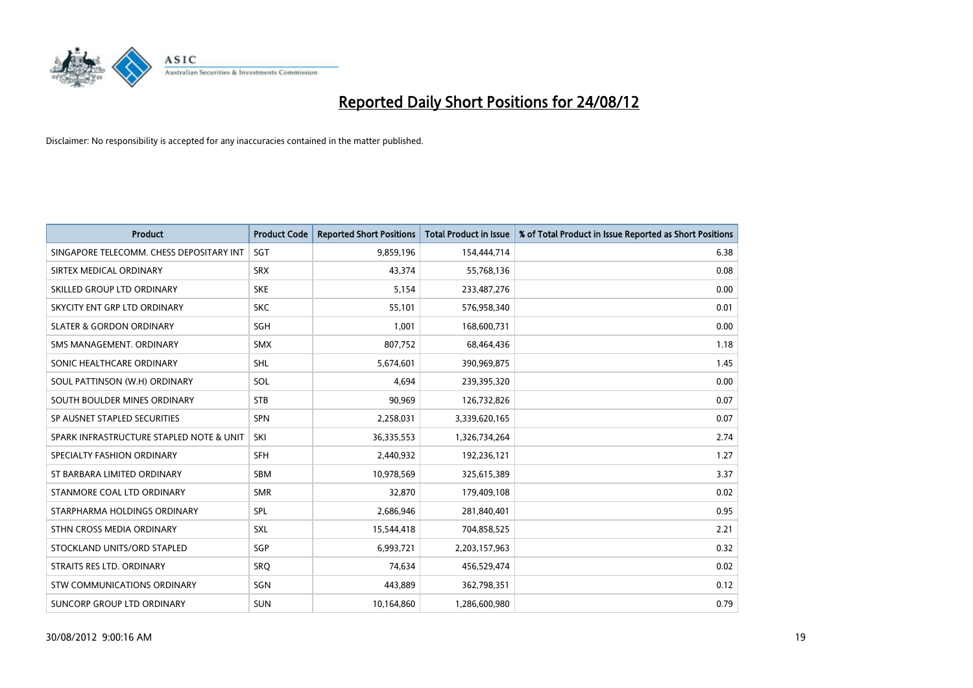

| <b>Product</b>                           | <b>Product Code</b> | <b>Reported Short Positions</b> | <b>Total Product in Issue</b> | % of Total Product in Issue Reported as Short Positions |
|------------------------------------------|---------------------|---------------------------------|-------------------------------|---------------------------------------------------------|
| SINGAPORE TELECOMM. CHESS DEPOSITARY INT | SGT                 | 9,859,196                       | 154,444,714                   | 6.38                                                    |
| SIRTEX MEDICAL ORDINARY                  | <b>SRX</b>          | 43.374                          | 55,768,136                    | 0.08                                                    |
| SKILLED GROUP LTD ORDINARY               | <b>SKE</b>          | 5,154                           | 233,487,276                   | 0.00                                                    |
| SKYCITY ENT GRP LTD ORDINARY             | <b>SKC</b>          | 55,101                          | 576,958,340                   | 0.01                                                    |
| <b>SLATER &amp; GORDON ORDINARY</b>      | SGH                 | 1.001                           | 168,600,731                   | 0.00                                                    |
| SMS MANAGEMENT. ORDINARY                 | <b>SMX</b>          | 807,752                         | 68,464,436                    | 1.18                                                    |
| SONIC HEALTHCARE ORDINARY                | SHL                 | 5,674,601                       | 390,969,875                   | 1.45                                                    |
| SOUL PATTINSON (W.H) ORDINARY            | SOL                 | 4,694                           | 239,395,320                   | 0.00                                                    |
| SOUTH BOULDER MINES ORDINARY             | <b>STB</b>          | 90,969                          | 126,732,826                   | 0.07                                                    |
| SP AUSNET STAPLED SECURITIES             | <b>SPN</b>          | 2,258,031                       | 3,339,620,165                 | 0.07                                                    |
| SPARK INFRASTRUCTURE STAPLED NOTE & UNIT | SKI                 | 36,335,553                      | 1,326,734,264                 | 2.74                                                    |
| SPECIALTY FASHION ORDINARY               | <b>SFH</b>          | 2,440,932                       | 192,236,121                   | 1.27                                                    |
| ST BARBARA LIMITED ORDINARY              | <b>SBM</b>          | 10,978,569                      | 325,615,389                   | 3.37                                                    |
| STANMORE COAL LTD ORDINARY               | <b>SMR</b>          | 32,870                          | 179,409,108                   | 0.02                                                    |
| STARPHARMA HOLDINGS ORDINARY             | SPL                 | 2,686,946                       | 281,840,401                   | 0.95                                                    |
| STHN CROSS MEDIA ORDINARY                | <b>SXL</b>          | 15,544,418                      | 704,858,525                   | 2.21                                                    |
| STOCKLAND UNITS/ORD STAPLED              | SGP                 | 6,993,721                       | 2,203,157,963                 | 0.32                                                    |
| STRAITS RES LTD. ORDINARY                | SRO                 | 74,634                          | 456,529,474                   | 0.02                                                    |
| STW COMMUNICATIONS ORDINARY              | SGN                 | 443,889                         | 362,798,351                   | 0.12                                                    |
| SUNCORP GROUP LTD ORDINARY               | <b>SUN</b>          | 10,164,860                      | 1,286,600,980                 | 0.79                                                    |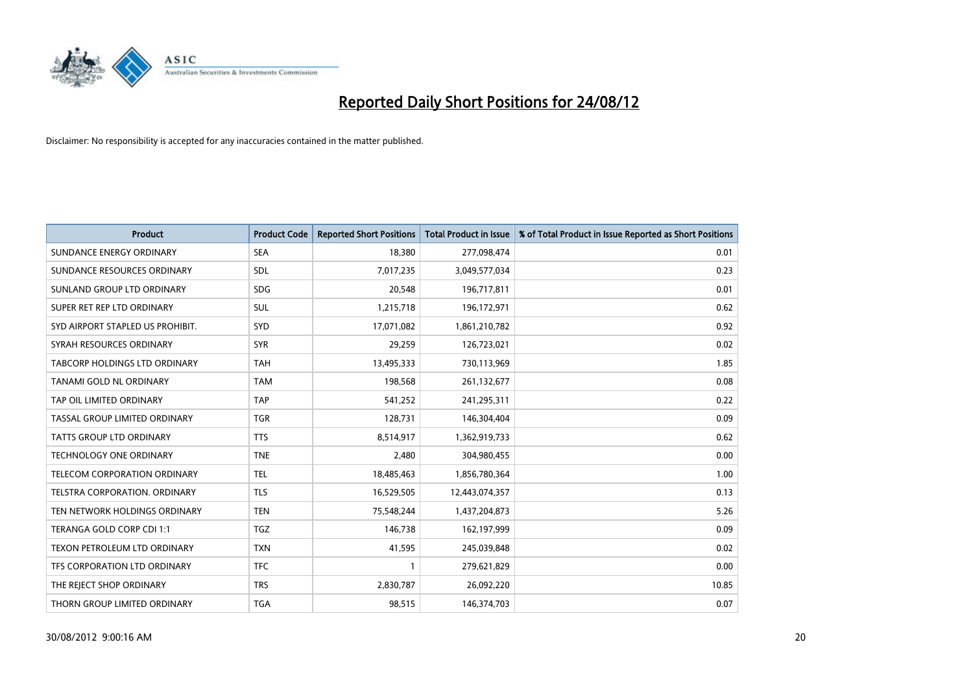

| <b>Product</b>                   | <b>Product Code</b> | <b>Reported Short Positions</b> | <b>Total Product in Issue</b> | % of Total Product in Issue Reported as Short Positions |
|----------------------------------|---------------------|---------------------------------|-------------------------------|---------------------------------------------------------|
| SUNDANCE ENERGY ORDINARY         | <b>SEA</b>          | 18,380                          | 277,098,474                   | 0.01                                                    |
| SUNDANCE RESOURCES ORDINARY      | <b>SDL</b>          | 7,017,235                       | 3,049,577,034                 | 0.23                                                    |
| SUNLAND GROUP LTD ORDINARY       | <b>SDG</b>          | 20,548                          | 196,717,811                   | 0.01                                                    |
| SUPER RET REP LTD ORDINARY       | SUL                 | 1,215,718                       | 196,172,971                   | 0.62                                                    |
| SYD AIRPORT STAPLED US PROHIBIT. | <b>SYD</b>          | 17,071,082                      | 1,861,210,782                 | 0.92                                                    |
| SYRAH RESOURCES ORDINARY         | <b>SYR</b>          | 29,259                          | 126,723,021                   | 0.02                                                    |
| TABCORP HOLDINGS LTD ORDINARY    | <b>TAH</b>          | 13,495,333                      | 730,113,969                   | 1.85                                                    |
| TANAMI GOLD NL ORDINARY          | <b>TAM</b>          | 198,568                         | 261,132,677                   | 0.08                                                    |
| TAP OIL LIMITED ORDINARY         | <b>TAP</b>          | 541,252                         | 241,295,311                   | 0.22                                                    |
| TASSAL GROUP LIMITED ORDINARY    | <b>TGR</b>          | 128,731                         | 146,304,404                   | 0.09                                                    |
| TATTS GROUP LTD ORDINARY         | <b>TTS</b>          | 8,514,917                       | 1,362,919,733                 | 0.62                                                    |
| <b>TECHNOLOGY ONE ORDINARY</b>   | <b>TNE</b>          | 2,480                           | 304,980,455                   | 0.00                                                    |
| TELECOM CORPORATION ORDINARY     | <b>TEL</b>          | 18,485,463                      | 1,856,780,364                 | 1.00                                                    |
| TELSTRA CORPORATION. ORDINARY    | <b>TLS</b>          | 16,529,505                      | 12,443,074,357                | 0.13                                                    |
| TEN NETWORK HOLDINGS ORDINARY    | <b>TEN</b>          | 75,548,244                      | 1,437,204,873                 | 5.26                                                    |
| TERANGA GOLD CORP CDI 1:1        | <b>TGZ</b>          | 146,738                         | 162,197,999                   | 0.09                                                    |
| TEXON PETROLEUM LTD ORDINARY     | <b>TXN</b>          | 41,595                          | 245,039,848                   | 0.02                                                    |
| TFS CORPORATION LTD ORDINARY     | <b>TFC</b>          |                                 | 279,621,829                   | 0.00                                                    |
| THE REJECT SHOP ORDINARY         | <b>TRS</b>          | 2,830,787                       | 26,092,220                    | 10.85                                                   |
| THORN GROUP LIMITED ORDINARY     | <b>TGA</b>          | 98,515                          | 146,374,703                   | 0.07                                                    |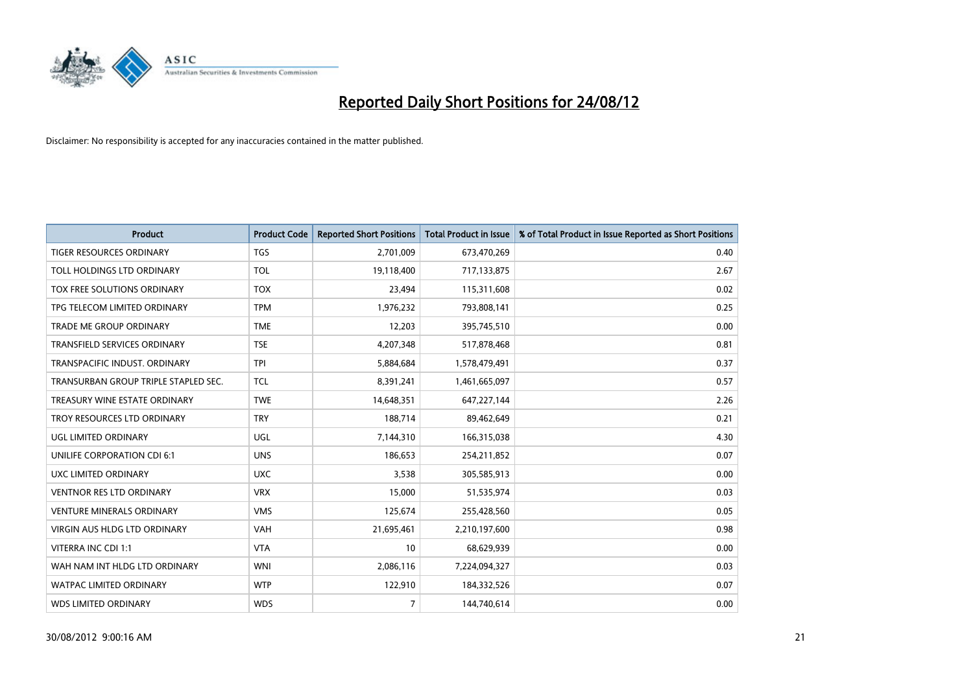

| <b>Product</b>                       | <b>Product Code</b> | <b>Reported Short Positions</b> | <b>Total Product in Issue</b> | % of Total Product in Issue Reported as Short Positions |
|--------------------------------------|---------------------|---------------------------------|-------------------------------|---------------------------------------------------------|
| <b>TIGER RESOURCES ORDINARY</b>      | <b>TGS</b>          | 2,701,009                       | 673,470,269                   | 0.40                                                    |
| TOLL HOLDINGS LTD ORDINARY           | <b>TOL</b>          | 19,118,400                      | 717,133,875                   | 2.67                                                    |
| TOX FREE SOLUTIONS ORDINARY          | <b>TOX</b>          | 23,494                          | 115,311,608                   | 0.02                                                    |
| TPG TELECOM LIMITED ORDINARY         | <b>TPM</b>          | 1,976,232                       | 793,808,141                   | 0.25                                                    |
| <b>TRADE ME GROUP ORDINARY</b>       | <b>TME</b>          | 12,203                          | 395,745,510                   | 0.00                                                    |
| <b>TRANSFIELD SERVICES ORDINARY</b>  | <b>TSE</b>          | 4,207,348                       | 517,878,468                   | 0.81                                                    |
| TRANSPACIFIC INDUST, ORDINARY        | <b>TPI</b>          | 5,884,684                       | 1,578,479,491                 | 0.37                                                    |
| TRANSURBAN GROUP TRIPLE STAPLED SEC. | <b>TCL</b>          | 8,391,241                       | 1,461,665,097                 | 0.57                                                    |
| TREASURY WINE ESTATE ORDINARY        | <b>TWE</b>          | 14,648,351                      | 647,227,144                   | 2.26                                                    |
| TROY RESOURCES LTD ORDINARY          | <b>TRY</b>          | 188,714                         | 89,462,649                    | 0.21                                                    |
| UGL LIMITED ORDINARY                 | UGL                 | 7,144,310                       | 166,315,038                   | 4.30                                                    |
| <b>UNILIFE CORPORATION CDI 6:1</b>   | <b>UNS</b>          | 186,653                         | 254,211,852                   | 0.07                                                    |
| UXC LIMITED ORDINARY                 | <b>UXC</b>          | 3,538                           | 305,585,913                   | 0.00                                                    |
| <b>VENTNOR RES LTD ORDINARY</b>      | <b>VRX</b>          | 15,000                          | 51,535,974                    | 0.03                                                    |
| <b>VENTURE MINERALS ORDINARY</b>     | <b>VMS</b>          | 125,674                         | 255,428,560                   | 0.05                                                    |
| VIRGIN AUS HLDG LTD ORDINARY         | VAH                 | 21,695,461                      | 2,210,197,600                 | 0.98                                                    |
| VITERRA INC CDI 1:1                  | <b>VTA</b>          | 10                              | 68,629,939                    | 0.00                                                    |
| WAH NAM INT HLDG LTD ORDINARY        | <b>WNI</b>          | 2,086,116                       | 7,224,094,327                 | 0.03                                                    |
| <b>WATPAC LIMITED ORDINARY</b>       | <b>WTP</b>          | 122,910                         | 184,332,526                   | 0.07                                                    |
| <b>WDS LIMITED ORDINARY</b>          | <b>WDS</b>          | $\overline{7}$                  | 144,740,614                   | 0.00                                                    |